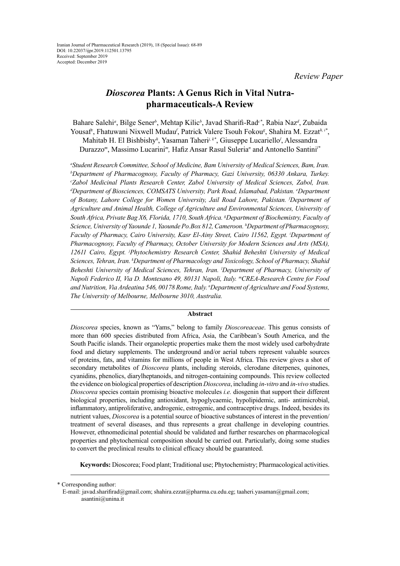# *Dioscorea* **Plants: A Genus Rich in Vital Nutrapharmaceuticals-A Review**

Bahare Salehi*<sup>a</sup>* , Bilge Sener*<sup>b</sup>* , Mehtap Kilic*<sup>b</sup>* , Javad Sharifi-Rad*c\**, Rabia Naz*<sup>d</sup>* , Zubaida Yousaf<sup>e</sup>, Fhatuwani Nixwell Mudau<sup>f</sup>, Patrick Valere Tsouh Fokou<sup>g</sup>, Shahira M. Ezzat<sup>h, i\*</sup>, Mahitab H. El Bishbishy*<sup>h</sup>* , Yasaman Taheri*j, k\**, Giuseppe Lucariello*<sup>l</sup>* , Alessandra Durazzo*<sup>m</sup>*, Massimo Lucarini*m,* Hafiz Ansar Rasul Suleria*<sup>n</sup>* and Antonello Santini*l\**

*a Student Research Committee, School of Medicine, Bam University of Medical Sciences, Bam, Iran. b Department of Pharmacognosy, Faculty of Pharmacy, Gazi University, 06330 Ankara, Turkey. c Zabol Medicinal Plants Research Center, Zabol University of Medical Sciences, Zabol, Iran. d Department of Biosciences, COMSATS University, Park Road, Islamabad, Pakistan. e Department of Botany, Lahore College for Women University, Jail Road Lahore, Pakistan. f Department of Agriculture and Animal Health, College of Agriculture and Environmental Sciences, University of South Africa, Private Bag X6, Florida, 1710, South Africa. g Department of Biochemistry, Faculty of Science, University of Yaounde 1, Yaounde Po.Box 812, Cameroon. h Department ofPharmacognosy, Faculty of Pharmacy, Cairo University, Kasr El-Ainy Street, Cairo 11562, Egypt. i Department of Pharmacognosy, Faculty of Pharmacy, October University for Modern Sciences and Arts (MSA), 12611 Cairo, Egypt. j Phytochemistry Research Center, Shahid Beheshti University of Medical Sciences, Tehran, Iran. k Department of Pharmacology and Toxicology, School of Pharmacy, Shahid Beheshti University of Medical Sciences, Tehran, Iran. l Department of Pharmacy, University of Napoli Federico II, Via D. Montesano 49, 80131 Napoli, Italy. mCREA-Research Centre for Food and Nutrition, Via Ardeatina 546, 00178 Rome, Italy. <sup>n</sup> Department of Agriculture and Food Systems, The University of Melbourne, Melbourne 3010, Australia.*

# **Abstract**

*Dioscorea* species, known as "Yams," belong to family *Dioscoreaceae*. This genus consists of more than 600 species distributed from Africa, Asia, the Caribbean's South America, and the South Pacific islands. Their organoleptic properties make them the most widely used carbohydrate food and dietary supplements. The underground and/or aerial tubers represent valuable sources of proteins, fats, and vitamins for millions of people in West Africa. This review gives a shot of secondary metabolites of *Dioscorea* plants, including steroids, clerodane diterpenes, quinones, cyanidins, phenolics, diarylheptanoids, and nitrogen-containing compounds. This review collected the evidence on biological properties of description *Dioscorea*, including *in-vitro* and *in-vivo* studies. *Dioscorea* species contain promising bioactive molecules *i.e.* diosgenin that support their different biological properties, including antioxidant, hypoglycaemic, hypolipidemic, anti- antimicrobial, inflammatory, antiproliferative, androgenic, estrogenic, and contraceptive drugs. Indeed, besides its nutrient values, *Dioscorea* is a potential source of bioactive substances of interest in the prevention/ treatment of several diseases, and thus represents a great challenge in developing countries. However, ethnomedicinal potential should be validated and further researches on pharmacological properties and phytochemical composition should be carried out. Particularly, doing some studies to convert the preclinical results to clinical efficacy should be guaranteed.

**Keywords:** Dioscorea; Food plant; Traditional use; Phytochemistry; Pharmacological activities.

\* Corresponding author:

E-mail: javad.sharifirad@gmail.com; shahira.ezzat@pharma.cu.edu.eg; taaheri.yasaman@gmail.com; asantini@unina.it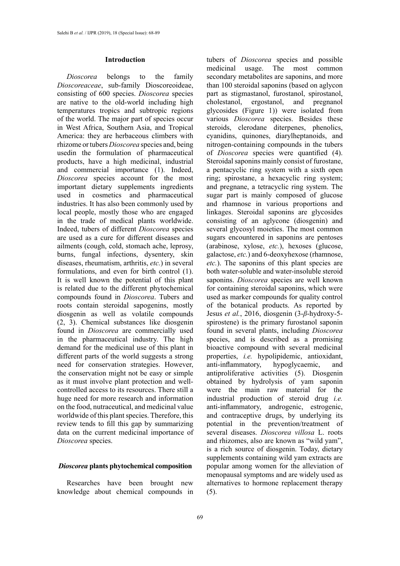# **Introduction**

*Dioscorea* belongs to the family *Dioscoreaceae*, sub-family Dioscoreoideae, consisting of 600 species. *Dioscorea* species are native to the old-world including high temperatures tropics and subtropic regions of the world. The major part of species occur in West Africa, Southern Asia, and Tropical America: they are herbaceous climbers with rhizome or tubers *Dioscorea* species and, being usedin the formulation of pharmaceutical products, have a high medicinal, industrial and commercial importance (1). Indeed, *Dioscorea* species account for the most important dietary supplements ingredients used in cosmetics and pharmaceutical industries. It has also been commonly used by local people, mostly those who are engaged in the trade of medical plants worldwide. Indeed, tubers of different *Dioscorea* species are used as a cure for different diseases and ailments (cough, cold, stomach ache, leprosy, burns, fungal infections, dysentery, skin diseases, rheumatism, arthritis, *etc.*) in several formulations, and even for birth control (1). It is well known the potential of this plant is related due to the different phytochemical compounds found in *Dioscorea*. Tubers and roots contain steroidal sapogenins, mostly diosgenin as well as volatile compounds (2, 3). Chemical substances like diosgenin found in *Dioscorea* are commercially used in the pharmaceutical industry. The high demand for the medicinal use of this plant in different parts of the world suggests a strong need for conservation strategies. However, the conservation might not be easy or simple as it must involve plant protection and wellcontrolled access to its resources. There still a huge need for more research and information on the food, nutraceutical, and medicinal value worldwide of this plant species. Therefore, this review tends to fill this gap by summarizing data on the current medicinal importance of *Dioscorea* species.

### *Dioscorea* **plants phytochemical composition**

Researches have been brought new knowledge about chemical compounds in

tubers of *Dioscorea* species and possible medicinal usage. The most common secondary metabolites are saponins, and more than 100 steroidal saponins (based on aglycon part as stigmastanol, furostanol, spirostanol, cholestanol, ergostanol, and pregnanol glycosides (Figure 1)) were isolated from various *Dioscorea* species. Besides these steroids, clerodane diterpenes, phenolics, cyanidins, quinones, diarylheptanoids, and nitrogen-containing compounds in the tubers of *Dioscorea* species were quantified (4). Steroidal saponins mainly consist of furostane, a pentacyclic ring system with a sixth open ring; spirostane, a hexacyclic ring system; and pregnane, a tetracyclic ring system. The sugar part is mainly composed of glucose and rhamnose in various proportions and linkages. Steroidal saponins are glycosides consisting of an aglycone (diosgenin) and several glycosyl moieties. The most common sugars encountered in saponins are pentoses (arabinose, xylose, *etc.*), hexoses (glucose, galactose, *etc.*) and 6-deoxyhexose (rhamnose, *etc.*). The saponins of this plant species are both water-soluble and water-insoluble steroid saponins. *Dioscorea* species are well known for containing steroidal saponins, which were used as marker compounds for quality control of the botanical products. As reported by Jesus *et al.*, 2016, diosgenin (3-*β*-hydroxy-5 spirostene) is the primary furostanol saponin found in several plants, including *Dioscorea* species, and is described as a promising bioactive compound with several medicinal properties, *i.e.* hypolipidemic, antioxidant, anti-inflammatory, hypoglycaemic, and antiproliferative activities (5). Diosgenin obtained by hydrolysis of yam saponin were the main raw material for the industrial production of steroid drug *i.e.* anti-inflammatory, androgenic, estrogenic, and contraceptive drugs, by underlying its potential in the prevention/treatment of several diseases. *Dioscorea villosa* L. roots and rhizomes, also are known as "wild yam", is a rich source of diosgenin. Today, dietary supplements containing wild yam extracts are popular among women for the alleviation of menopausal symptoms and are widely used as alternatives to hormone replacement therapy (5).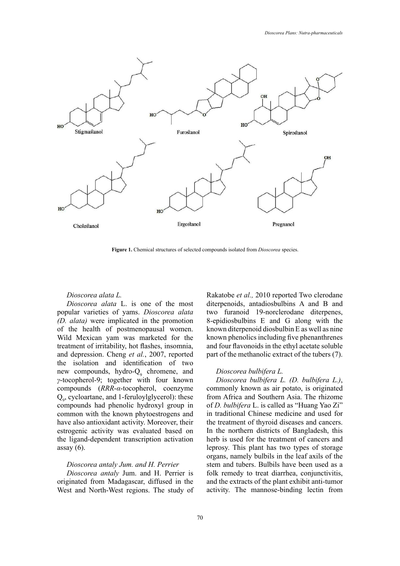

**Figure 1.** Chemical structures of selected compounds isolated from *Dioscorea* species. **Figure 1.** Chemical structures of selected compounds isolated from *Dioscorea* species.

#### *Dioscorea alata L.*

*Dioscorea alata* L. is one of the most popular varieties of yams. *Dioscorea alata (D. alata)* were implicated in the promotion of the health of postmenopausal women. Wild Mexican yam was marketed for the treatment of irritability, hot flashes, insomnia, and depression. Cheng *et al.*, 2007, reported the isolation and identification of two new compounds, hydro-Q<sub>9</sub> chromene, and *γ*-tocopherol-9; together with four known compounds (*RRR*-*α*-tocopherol, coenzyme Q9 , cycloartane, and 1-feruloylglycerol): these compounds had phenolic hydroxyl group in common with the known phytoestrogens and have also antioxidant activity. Moreover, their estrogenic activity was evaluated based on the ligand-dependent transcription activation assay  $(6)$ .

### *Dioscorea antaly Jum. and H. Perrier*

*Dioscorea antaly* Jum. and H. Perrier is originated from Madagascar, diffused in the West and North-West regions. The study of Rakatobe *et al.,* 2010 reported Two clerodane diterpenoids, antadiosbulbins A and B and two furanoid 19-norclerodane diterpenes, 8-epidiosbulbins E and G along with the known diterpenoid diosbulbin E as well as nine known phenolics including five phenanthrenes and four flavonoids in the ethyl acetate soluble part of the methanolic extract of the tubers (7).

#### *Dioscorea bulbifera L.*

*Dioscorea bulbifera L. (D. bulbifera L.)*, commonly known as air potato, is originated from Africa and Southern Asia. The rhizome of *D. bulbifera* L. is called as "Huang Yao Zi" in traditional Chinese medicine and used for the treatment of thyroid diseases and cancers. In the northern districts of Bangladesh, this herb is used for the treatment of cancers and leprosy. This plant has two types of storage organs, namely bulbils in the leaf axils of the stem and tubers. Bulbils have been used as a folk remedy to treat diarrhea, conjunctivitis, and the extracts of the plant exhibit anti-tumor activity. The mannose-binding lectin from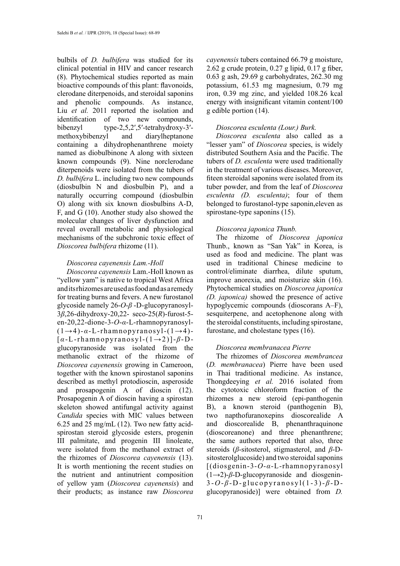bulbils of *D. bulbifera* was studied for its clinical potential in HIV and cancer research (8). Phytochemical studies reported as main bioactive compounds of this plant: flavonoids, clerodane diterpenoids, and steroidal saponins and phenolic compounds. As instance, Liu *et al.* 2011 reported the isolation and identification of two new compounds, bibenzyl type-2,5,2′,5′-tetrahydroxy-3′ methoxybibenzyl and diarylheptanone containing a dihydrophenanthrene moiety named as diobulbinone A along with sixteen known compounds (9). Nine norclerodane diterpenoids were isolated from the tubers of *D. bulbifera* L. including two new compounds (diosbulbin N and diosbulbin P), and a naturally occurring compound (diosbulbin O) along with six known diosbulbins A-D, F, and G (10). Another study also showed the molecular changes of liver dysfunction and reveal overall metabolic and physiological mechanisms of the subchronic toxic effect of *Dioscorea bulbifera* rhizome (11).

#### *Dioscorea cayenensis Lam.-Holl*

*Dioscorea cayenensis* Lam.-Holl known as "yellow yam" is native to tropical West Africa and its rhizomes are used as food and as a remedy for treating burns and fevers. A new furostanol glycoside namely 26-*O*-*β* -D-glucopyranosyl-3*β*,26-dihydroxy-20,22- seco-25(*R*)-furost-5 en-20,22-dione-3-*O*-*α*-L-rhamnopyranosyl-  $(1\rightarrow4)$ - $\alpha$ -L-rhamnopyranosyl- $(1\rightarrow4)$ -[*α*-L-rhamnopyranosyl-(1→2)]-*β*-Dglucopyranoside was isolated from the methanolic extract of the rhizome of *Dioscorea cayenensis* growing in Cameroon, together with the known spirostanol saponins described as methyl protodioscin, asperoside and prosapogenin A of dioscin (12). Prosapogenin A of dioscin having a spirostan skeleton showed antifungal activity against *Candida* species with MIC values between 6.25 and 25 mg/mL (12). Two new fatty acidspirostan steroid glycoside esters, progenin III palmitate, and progenin III linoleate, were isolated from the methanol extract of the rhizomes of *Dioscorea cayenensis* (13). It is worth mentioning the recent studies on the nutrient and antinutrient composition of yellow yam (*Dioscorea cayenensis*) and their products; as instance raw *Dioscorea* 

*cayenensis* tubers contained 66.79 g moisture, 2.62 g crude protein, 0.27 g lipid, 0.17 g fiber, 0.63 g ash, 29.69 g carbohydrates, 262.30 mg potassium, 61.53 mg magnesium, 0.79 mg iron, 0.39 mg zinc, and yielded 108.26 kcal energy with insignificant vitamin content/100 g edible portion (14).

# *Dioscorea esculenta (Lour.) Burk.*

*Dioscorea esculenta* also called as a "lesser yam" of *Dioscorea* species, is widely distributed Southern Asia and the Pacific. The tubers of *D. esculenta* were used traditionally in the treatment of various diseases. Moreover, fiteen steroidal saponins were isolated from its tuber powder, and from the leaf of *Dioscorea esculenta (D. esculenta)*; four of them belonged to furostanol-type saponin,eleven as spirostane-type saponins (15).

#### *Dioscorea japonica Thunb.*

The rhizome of *Dioscorea japonica* Thunb., known as "San Yak" in Korea, is used as food and medicine. The plant was used in traditional Chinese medicine to control/eliminate diarrhea, dilute sputum, improve anorexia, and moisturize skin (16). Phytochemical studies on *Dioscorea japonica (D. japonica)* showed the presence of active hypoglycemic compounds (dioscorans A–F), sesquiterpene, and acetophenone along with the steroidal constituents, including spirostane, furostane, and cholestane types (16).

#### *Dioscorea membranacea Pierre*

The rhizomes of *Dioscorea membrancea* (*D. membranacea*) Pierre have been used in Thai traditional medicine. As instance, Thongdeeying *et al.* 2016 isolated from the cytotoxic chloroform fraction of the rhizomes a new steroid (epi-panthogenin B), a known steroid (panthogenin B), two napthofuranoxepins dioscorealide A and dioscorealide B, phenanthraquinone (dioscoreanone) and three phenanthrene; the same authors reported that also, three steroids (*β*-sitosterol, stigmasterol, and *β*-Dsitosterolglucoside) and two steroidal saponins [(diosgenin-3-*O*-*α*-L-rhamnopyranosyl (1→2)-*β*-D-glucopyranoside and diosgenin-3 -*O*- *β* -D-glucopyranosyl(1-3)- *β* -Dglucopyranoside)] were obtained from *D.*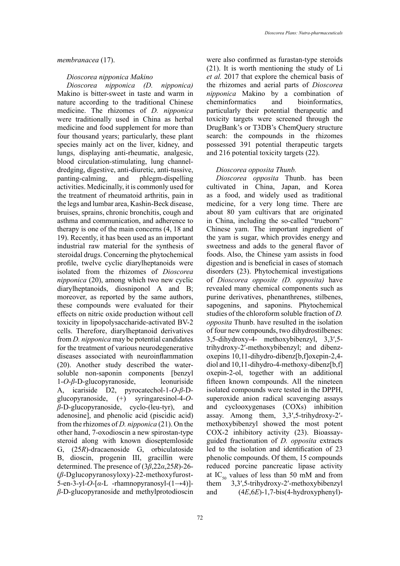### *membranacea* (17).

### *Dioscorea nipponica Makino*

*Dioscorea nipponica (D. nipponica)*  Makino is bitter-sweet in taste and warm in nature according to the traditional Chinese medicine. The rhizomes of *D. nipponica*  were traditionally used in China as herbal medicine and food supplement for more than four thousand years; particularly, these plant species mainly act on the liver, kidney, and lungs, displaying anti-rheumatic, analgesic, blood circulation-stimulating, lung channeldredging, digestive, anti-diuretic, anti-tussive, panting-calming, and phlegm-dispelling activities. Medicinally, it is commonly used for the treatment of rheumatoid arthritis, pain in the legs and lumbar area, Kashin-Beck disease, bruises, sprains, chronic bronchitis, cough and asthma and communication, and adherence to therapy is one of the main concerns (4, 18 and 19). Recently, it has been used as an important industrial raw material for the synthesis of steroidal drugs. Concerning the phytochemical profile, twelve cyclic diarylheptanoids were isolated from the rhizomes of *Dioscorea nipponica* (20), among which two new cyclic diarylheptanoids, diosniponol A and B; moreover, as reported by the same authors, these compounds were evaluated for their effects on nitric oxide production without cell toxicity in lipopolysaccharide-activated BV-2 cells. Therefore, diarylheptanoid derivatives from *D. nipponica* may be potential candidates for the treatment of various neurodegenerative diseases associated with neuroinflammation (20). Another study described the watersoluble non-saponin components [benzyl 1-*O*-*β*-D-glucopyranoside, leonuriside A, icariside D2, pyrocatechol-1*-O*-*β*-Dglucopyranoside, (+) syringaresinol-4-*Oβ*-D-glucopyranoside, cyclo-(leu-tyr), and adenosine], and phenolic acid (piscidic acid) from the rhizomes of *D. nipponica* (21). On the other hand, 7-oxodioscin a new spirostan-type steroid along with known dioseptemloside G, (25*R*)-dracaenoside G, orbiculatoside B, dioscin, progenin III, gracillin were determined. The presence of (3*β*,22*α*,25*R*)-26- (*β*-Dglucopyranosyloxy)-22-methoxyfurost-5-en-3-yl-*O*-[*α*-L -rhamnopyranosyl-(1→4)] *β*-D-glucopyranoside and methylprotodioscin

were also confirmed as furastan-type steroids (21). It is worth mentioning the study of Li *et al.* 2017 that explore the chemical basis of the rhizomes and aerial parts of *Dioscorea nipponica* Makino by a combination of cheminformatics and bioinformatics, particularly their potential therapeutic and toxicity targets were screened through the DrugBank's or T3DB's ChemQuery structure search: the compounds in the rhizomes possessed 391 potential therapeutic targets and 216 potential toxicity targets (22).

### *Dioscorea opposita Thunb.*

*Dioscorea opposita* Thunb. has been cultivated in China, Japan, and Korea as a food, and widely used as traditional medicine, for a very long time. There are about 80 yam cultivars that are originated in China, including the so-called "trueborn" Chinese yam. The important ingredient of the yam is sugar, which provides energy and sweetness and adds to the general flavor of foods. Also, the Chinese yam assists in food digestion and is beneficial in cases of stomach disorders (23). Phytochemical investigations of *Dioscorea opposite (D. opposita)* have revealed many chemical components such as purine derivatives, phenanthrenes, stilbenes, sapogenins, and saponins. Phytochemical studies of the chloroform soluble fraction of *D. opposita* Thunb. have resulted in the isolation of four new compounds, two dihydrostilbenes: 3,5-dihydroxy-4- methoxybibenzyl, 3,3′,5 trihydroxy-2′-methoxybibenzyl; and dibenzoxepins 10,11-dihydro-dibenz[b,f]oxepin-2,4 diol and 10,11-dihydro-4-methoxy-dibenz[b,f] oxepin-2-ol, together with an additional fifteen known compounds. All the nineteen isolated compounds were tested in the DPPH, superoxide anion radical scavenging assays and cyclooxygenases (COXs) inhibition assay. Among them, 3,3′,5-trihydroxy-2′ methoxybibenzyl showed the most potent COX-2 inhibitory activity (23). Bioassayguided fractionation of *D. opposita* extracts led to the isolation and identification of 23 phenolic compounds. Of them, 15 compounds reduced porcine pancreatic lipase activity at IC<sub>50</sub> values of less than 50 mM and from them 3,3′,5-trihydroxy-2′-methoxybibenzyl and (4*E*,6*E*)-1,7-bis(4-hydroxyphenyl)-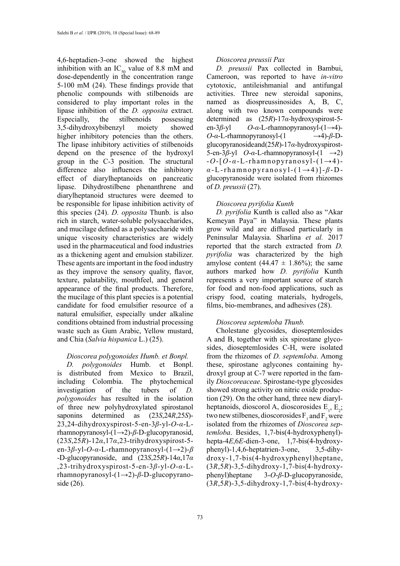4,6-heptadien-3-one showed the highest inhibition with an  $IC_{50}$  value of 8.8 mM and dose-dependently in the concentration range 5-100 mM (24). These findings provide that phenolic compounds with stilbenoids are considered to play important roles in the lipase inhibition of the *D. opposita* extract. Especially, the stilbenoids possessing 3,5-dihydroxybibenzyl moiety showed higher inhibitory potencies than the others. The lipase inhibitory activities of stilbenoids depend on the presence of the hydroxyl group in the C-3 position. The structural difference also influences the inhibitory effect of diarylheptanoids on pancreatic lipase. Dihydrostilbene phenanthrene and diarylheptanoid structures were deemed to be responsible for lipase inhibition activity of this species (24). *D. opposita* Thunb. is also rich in starch, water-soluble polysaccharides, and mucilage defined as a polysaccharide with unique viscosity characteristics are widely used in the pharmaceutical and food industries as a thickening agent and emulsion stabilizer. These agents are important in the food industry as they improve the sensory quality, flavor, texture, palatability, mouthfeel, and general appearance of the final products. Therefore, the mucilage of this plant species is a potential candidate for food emulsifier resource of a natural emulsifier, especially under alkaline conditions obtained from industrial processing waste such as Gum Arabic, Yellow mustard, and Chia (*Salvia hispanica* L.) (25).

### *Dioscorea polygonoides Humb. et Bonpl.*

*D. polygonoides* Humb. et Bonpl. is distributed from Mexico to Brazil, including Colombia. The phytochemical investigation of the tubers of *D. polygonoides* has resulted in the isolation of three new polyhydroxylated spirostanol saponins determined as (23*S*,24*R*,25*S*)- 23,24-dihydroxyspirost-5-en-3*β*-yl-*O*-*α*-Lrhamnopyranosyl-(1→2)-*β*-D-glucopyranosid, (23*S*,25*R*)-12*α*,17*α*,23-trihydroxyspirost-5 en-3*β*-yl-*O*-*α*-L-rhamnopyranosyl-(1→2)-*β* -D-glucopyranoside, and (23*S*,25*R*)-14*α*,17*α* ,23-trihydroxyspirost-5-en-3*β*-yl-*O*-*α*-Lrhamnopyranosyl-(1→2)-*β*-D-glucopyranoside (26).

### *Dioscorea preussii Pax*

*D. preussii* Pax collected in Bambui, Cameroon, was reported to have *in-vitro*  cytotoxic, antileishmanial and antifungal activities. Three new steroidal saponins, named as diospreussinosides A, B, C, along with two known compounds were determined as (25*R*)-17*α-*hydroxyspirost-5 en-3*β*-yl *O*-*α*-L-rhamnopyranosyl-(1→4)*-*  $O$ -*α*-L-rhamnopyranosyl-(1 →4)-*β*-Dglucopyranoside and (25*R*)-17*α*-hydroxyspirost-5-en-3*β*-yl *O*-*α*-L-rhamnopyranosyl-(1 →2) -*O*-[*O*-*α*-L-rhamnopyranosyl-(1→4) *α* -L-rhamnopyranosyl-(1→4)]- *β* -Dglucopyranoside were isolated from rhizomes of *D. preussii* (27).

#### *Dioscorea pyrifolia Kunth*

*D. pyrifolia* Kunth is called also as "Akar Kemeyan Paya" in Malaysia. These plants grow wild and are diffused particularly in Peninsular Malaysia. Sharlina *et al.* 2017 reported that the starch extracted from *D. pyrifolia* was characterized by the high amylose content  $(44.47 \pm 1.86\%)$ ; the same authors marked how *D. pyrifolia* Kunth represents a very important source of starch for food and non-food applications, such as crispy food, coating materials, hydrogels, films, bio-membranes, and adhesives (28).

#### *Dioscorea septemloba Thunb.*

Cholestane glycosides, dioseptemlosides A and B, together with six spirostane glycosides, dioseptemlosides C-H, were isolated from the rhizomes of *D. septemloba*. Among these, spirostane aglycones containing hydroxyl group at C-7 were reported in the family *Dioscoreaceae*. Spirostane-type glycosides showed strong activity on nitric oxide production (29). On the other hand, three new diarylheptanoids, dioscorol A, dioscorosides  $E_1$ ,  $E_2$ ; two new stilbenes, dioscorosides  $F_1$  and  $F_2$  were isolated from the rhizomes of *Dioscorea septemloba*. Besides, 1,7-bis(4-hydroxyphenyl) hepta-4*E*,6*E*-dien-3-one, 1,7-bis(4-hydroxyphenyl)-1,4,6-heptatrien-3-one, 3,5-dihydroxy-1,7-bis(4-hydroxyphenyl)heptane, (3*R*,5*R*)-3,5-dihydroxy-1,7-bis(4-hydroxyphenyl)heptane 3-*O*-*β*-D-glucopyranoside, (3*R*,5*R*)-3,5-dihydroxy-1,7-bis(4-hydroxy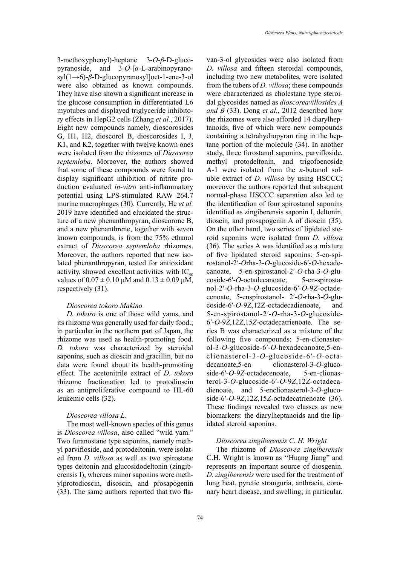3-methoxyphenyl)-heptane 3-*O*-*β*-D-glucopyranoside, and 3-*O*-[*α*-L-arabinopyranosyl(1→6)-*β*-D-glucopyranosyl]oct-1-ene-3-ol were also obtained as known compounds. They have also shown a significant increase in the glucose consumption in differentiated L6

myotubes and displayed triglyceride inhibitory effects in HepG2 cells (Zhang *et al.*, 2017). Eight new compounds namely, dioscorosides G, H1, H2, dioscorol B, dioscorosides I, J, K1, and K2, together with twelve known ones were isolated from the rhizomes of *Dioscorea septemloba*. Moreover, the authors showed that some of these compounds were found to display significant inhibition of nitrite production evaluated *in-vitro* anti-inflammatory potential using LPS-stimulated RAW 264.7 murine macrophages (30). Currently, He *et al.* 2019 have identified and elucidated the structure of a new phenanthropyran, dioscorone B, and a new phenanthrene, together with seven known compounds, is from the 75% ethanol extract of *Dioscorea septemloba* rhizomes. Moreover, the authors reported that new isolated phenanthropyran, tested for antioxidant activity, showed excellent activities with  $IC_{50}$ values of  $0.07 \pm 0.10 \mu M$  and  $0.13 \pm 0.09 \mu M$ , respectively (31).

# *Dioscorea tokoro Makino*

*D. tokoro* is one of those wild yams, and its rhizome was generally used for daily food.; in particular in the northern part of Japan, the rhizome was used as health-promoting food. *D. tokoro* was characterized by steroidal saponins, such as dioscin and gracillin, but no data were found about its health-promoting effect. The acetonitrile extract of *D. tokoro*  rhizome fractionation led to protodioscin as an antiproliferative compound to HL-60 leukemic cells (32).

# *Dioscorea villosa L.*

The most well-known species of this genus is *Dioscorea villosa*, also called "wild yam." Two furanostane type saponins, namely methyl parvifloside, and protodeltonin, were isolated from *D. villosa* as well as two spirostane types deltonin and glucosidodeltonin (zingiberensis I), whereas minor saponins were methylprotodioscin, disoscin, and prosapogenin (33). The same authors reported that two flavan-3-ol glycosides were also isolated from *D. villosa* and fifteen steroidal compounds, including two new metabolites, were isolated from the tubers of *D. villosa*; these compounds were characterized as cholestane type steroidal glycosides named as *dioscoreavillosides A and B* (33). Dong *et al.*, 2012 described how the rhizomes were also afforded 14 diarylheptanoids, five of which were new compounds containing a tetrahydropyran ring in the heptane portion of the molecule (34). In another study, three furostanol saponins, parvifloside, methyl protodeltonin, and trigofoenoside A-1 were isolated from the *n*-butanol soluble extract of *D. villosa* by using HSCCC; moreover the authors reported that subsquent normal-phase HSCCC separation also led to the identification of four spirostanol saponins identified as zingiberensis saponin I, deltonin, dioscin, and prosapogenin A of dioscin (35). On the other hand, two series of lipidated steroid saponins were isolated from *D. villosa*  (36). The series A was identified as a mixture of five lipidated steroid saponins: 5-en-spirostanol-2′-*O*rha-3-*O*-glucoside-6′-*O*-hexadecanoate, 5-en-spirostanol-2′-*O*-rha-3-*O*-glucoside-6′-*O-*octadecanoate, 5-en-spirostanol-2′-*O*-rha-3-*O*-glucoside-6′-*O*-9*Z*-octadecenoate, 5-enspirostanol- 2′-*O*-rha-3-*O*-glucoside-6′-*O*-9Z,12Z-octadecadienoate, and 5-en-spirostanol-2′-*O*-rha-3-*O*-glucoside-6′-*O*-9*Z*,12*Z*,15*Z*-octadecatrienoate. The series B was characterized as a mixture of the following five compounds: 5-en-clionasterol-3-*O*-glucoside-6′-*O*-hexadecanoate,5-enclionasterol-3-*O*-glucoside-6′-*O-*octadecanoate,5-en clionasterol-3-*O*-glucoside-6′-*O*-9*Z-*octadecenoate, 5-en-clionasterol-3-*O*-glucoside-6′-*O*-9*Z*,12*Z*-octadecadienoate, and 5-enclionasterol-3-*O*-glucoside-6′-*O*-9*Z*,12*Z*,15*Z*-octadecatrienoate (36). These findings revealed two classes as new biomarkers: the diarylheptanoids and the lipidated steroid saponins.

#### *Dioscorea zingiberensis C. H. Wright*

The rhizome of *Dioscorea zingiberensis* C.H. Wright is known as ''Huang Jiang" and represents an important source of diosgenin. *D. zingiberensis* were used for the treatment of lung heat, pyretic stranguria, anthracia, coronary heart disease, and swelling; in particular,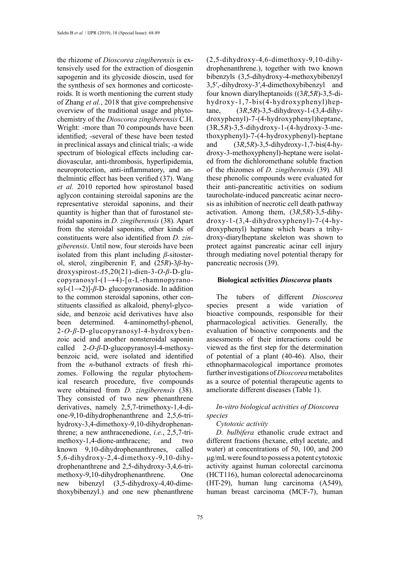the rhizome of *Dioscorea zingiberensis* is extensively used for the extraction of diosgenin sapogenin and its glycoside dioscin, used for the synthesis of sex hormones and corticosteroids. It is worth mentioning the current study of Zhang *et al.*, 2018 that give comprehensive overview of the traditional usage and phytochemistry of the *Dioscorea zingiberensis* C.H. Wright: -more than 70 compounds have been identified; -several of these have been tested in preclinical assays and clinical trials; -a wide spectrum of biological effects including cardiovascular, anti-thrombosis, hyperlipidemia, neuroprotection, anti-inflammatory, and anthelmintic effect has been verified (37). Wang *et al.* 2010 reported how spirostanol based aglycon containing steroidal saponins are the representative steroidal saponins, and their quantity is higher than that of furostanol steroidal saponins in *D. zingiberensis* (38)*.* Apart from the steroidal saponins, other kinds of constituents were also identified from *D. zingiberensis*. Until now, four steroids have been isolated from this plant including *β*-sitosterol, sterol, zingiberenin F, and (25*R*)-3*β*-hydroxyspirost-*Δ*5,20(21)-dien-3-*O*-*β*-D-glucopyranosyl-(1→4)-[*α*-L-rhamnopyranosyl-(1→2)]-*β*-D- glucopyranoside. In addition to the common steroidal saponins, other constituents classified as alkaloid, phenyl-glycoside, and benzoic acid derivatives have also been determined. 4-aminomethyl-phenol, 2-*O*-*β*-D-glucopyranosyl-4-hydroxybenzoic acid and another nonsteroidal saponin called 2-*O-β*-D-glucopyranosyl-4-methoxybenzoic acid, were isolated and identified from the *n*-buthanol extracts of fresh rhizomes. Following the regular phytochemical research procedure, five compounds were obtained from *D. zingiberensis* (38). They consisted of two new phenanthrene derivatives, namely 2,5,7-trimethoxy-1,4-dione-9,10-dihydrophenanthrene and 2,5,6-trihydroxy-3,4-dimethoxy-9,10-dihydrophenanthrene; a new anthracenedione, *i.e.*, 2,5,7-trimethoxy-1,4-dione-anthracene; and two known 9,10-dihydrophenanthrenes, called 5,6-dihydroxy-2,4-dimethoxy-9,10-dihydrophenanthrene and 2,5-dihydroxy-3,4,6-trimethoxy-9,10-dihydrophenanthrene. One new bibenzyl (3,5-dihydroxy-4,40-dimethoxybibenzyl.) and one new phenanthrene

(2,5-dihydroxy-4,6-dimethoxy-9,10-dihydrophenanthrene.), together with two known bibenzyls (3,5-dihydroxy-4-methoxybibenzyl 3,5′,-dihydroxy-3′,4-dimethoxybibenzyl and four known diarylheptanoids ((3*R*,5*R*)-3,5-dihydroxy-1,7-bis(4-hydroxyphenyl)heptane, (3*R*,5*R*)-3,5-dihydroxy-1-(3,4-dihydroxyphenyl)-7-(4-hydroxyphenyl)heptane, (3R,5*R*)-3,5-dihydroxy-1-(4-hydroxy-3-methoxyphenyl)-7-(4-hydroxyphenyl)-heptane and (3*R*,5*R*)-3,5-dihydroxy-1,7-bis(4-hydroxy-3-methoxyphenyl)-heptane were isolated from the dichloromethane soluble fraction of the rhizomes of *D. zingiberensis* (39)*.* All these phenolic compounds were evaluated for their anti-pancreatitic activities on sodium taurocholate-induced pancreatic acinar necrosis as inhibition of necrotic cell death pathway activation. Among them, (3*R*,5*R*)-3,5-dihydroxy-1-(3,4-dihydroxyphenyl)-7-(4-hydroxyphenyl) heptane which bears a trihydroxy-diarylheptane skeleton was shown to protect against pancreatic acinar cell injury through mediating novel potential therapy for pancreatic necrosis (39).

### **Biological activities** *Dioscorea* **plants**

The tubers of different *Dioscorea* species present a wide variation of bioactive compounds, responsible for their pharmacological activities. Generally, the evaluation of bioactive components and the assessments of their interactions could be viewed as the first step for the determination of potential of a plant (40-46). Also, their ethnopharmacological importance promotes further investigations of *Dioscorea* metabolites as a source of potential therapeutic agents to ameliorate different diseases (Table 1).

# *In-vitro biological activities of Dioscorea species*

#### *Cytotoxic activity*

*D. bulbifera* ethanolic crude extract and different fractions (hexane, ethyl acetate, and water) at concentrations of 50, 100, and 200 μg/mL were found to possess a potent cytotoxic activity against human colorectal carcinoma (HCT116), human colorectal adenocarcinoma (HT-29), human lung carcinoma (A549), human breast carcinoma (MCF-7), human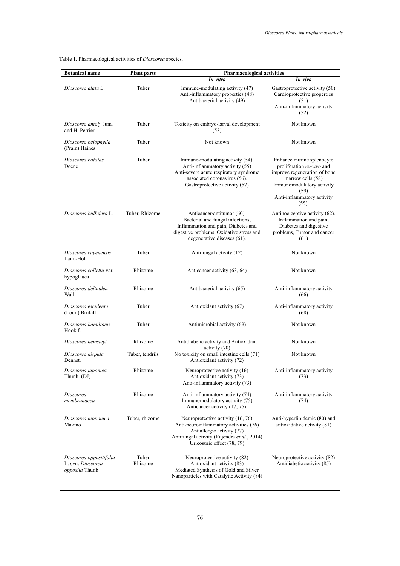**Table 1.** Pharmacological activities of *Dioscorea* species. **Table 1.** Pharmacological activities of *Dioscorea* species.

| <b>Botanical name</b>                                          | <b>Plant parts</b> | <b>Pharmacological activities</b>                                                                                                                                                      |                                                                                                                                                                                            |
|----------------------------------------------------------------|--------------------|----------------------------------------------------------------------------------------------------------------------------------------------------------------------------------------|--------------------------------------------------------------------------------------------------------------------------------------------------------------------------------------------|
|                                                                |                    | In-vitro                                                                                                                                                                               | In-vivo                                                                                                                                                                                    |
| Dioscorea alata L.                                             | Tuber              | Immune-modulating activity (47)<br>Anti-inflammatory properties (48)<br>Antibacterial activity (49)                                                                                    | Gastroprotective activity (50)<br>Cardioprotective properties<br>(51)<br>Anti-inflammatory activity<br>(52)                                                                                |
| Dioscorea antaly Jum.<br>and H. Perrier                        | Tuber              | Toxicity on embryo-larval development<br>(53)                                                                                                                                          | Not known                                                                                                                                                                                  |
| Dioscorea belophylla<br>(Prain) Haines                         | Tuber              | Not known                                                                                                                                                                              | Not known                                                                                                                                                                                  |
| Dioscorea batatas<br>Decne                                     | Tuber              | Immune-modulating activity (54).<br>Anti-inflammatory activity (55)<br>Anti-severe acute respiratory syndrome<br>associated coronavirus (56).<br>Gastroprotective activity (57)        | Enhance murine splenocyte<br>proliferation ex-vivo and<br>improve regeneration of bone<br>marrow cells (58)<br>Immunomodulatory activity<br>(59)<br>Anti-inflammatory activity<br>$(55)$ . |
| Dioscorea bulbifera L.                                         | Tuber, Rhizome     | Anticancer/antitumor (60).<br>Bacterial and fungal infections,<br>Inflammation and pain, Diabetes and<br>digestive problems, Oxidative stress and<br>degenerative diseases (61).       | Antinociceptive activity (62).<br>Inflammation and pain,<br>Diabetes and digestive<br>problems, Tumor and cancer<br>(61)                                                                   |
| Dioscorea cayenensis<br>Lam.-Holl                              | Tuber              | Antifungal activity (12)                                                                                                                                                               | Not known                                                                                                                                                                                  |
| Dioscorea collettii var.<br>hypoglauca                         | Rhizome            | Anticancer activity (63, 64)                                                                                                                                                           | Not known                                                                                                                                                                                  |
| Dioscorea deltoidea<br>Wall.                                   | Rhizome            | Antibacterial activity (65)                                                                                                                                                            | Anti-inflammatory activity<br>(66)                                                                                                                                                         |
| Dioscorea esculenta<br>(Lour.) Brukill                         | Tuber              | Antioxidant activity (67)                                                                                                                                                              | Anti-inflammatory activity<br>(68)                                                                                                                                                         |
| Dioscorea hamiltonii<br>Hook.f.                                | Tuber              | Antimicrobial activity (69)                                                                                                                                                            | Not known                                                                                                                                                                                  |
| Dioscorea hemsleyi                                             | Rhizome            | Antidiabetic activity and Antioxidant<br>activity (70)                                                                                                                                 | Not known                                                                                                                                                                                  |
| Dioscorea hispida<br>Dennst.                                   | Tuber, tendrils    | No toxicity on small intestine cells (71)<br>Antioxidant activity (72)                                                                                                                 | Not known                                                                                                                                                                                  |
| Dioscorea japonica<br>Thunb. (DJ)                              | Rhizome            | Neuroprotective activity (16)<br>Antioxidant activity (73)<br>Anti-inflammatory activity (73)                                                                                          | Anti-inflammatory activity<br>(73)                                                                                                                                                         |
| Dioscorea<br>membranacea                                       | Rhizome            | Anti-inflammatory activity (74)<br>Immunomodulatory activity (75)<br>Anticancer activity (17, 75).                                                                                     | Anti-inflammatory activity<br>(74)                                                                                                                                                         |
| Dioscorea nipponica<br>Makino                                  | Tuber, rhizome     | Neuroprotective activity (16, 76)<br>Anti-neuroinflammatory activities (76)<br>Antiallergic activity (77)<br>Antifungal activity (Rajendra et al., 2014)<br>Uricosuric effect (78, 79) | Anti-hyperlipidemic (80) and<br>antioxidative activity (81)                                                                                                                                |
| Dioscorea oppositifolia<br>L. syn: Dioscorea<br>opposita Thunb | Tuber<br>Rhizome   | Neuroprotective activity (82)<br>Antioxidant activity (83)<br>Mediated Synthesis of Gold and Silver<br>Nanoparticles with Catalytic Activity (84)                                      | Neuroprotective activity (82)<br>Antidiabetic activity (85)                                                                                                                                |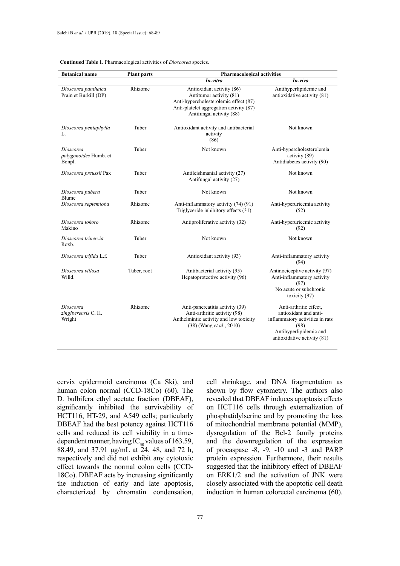| <b>Botanical name</b>                        | <b>Plant parts</b> | <b>Pharmacological activities</b>                                                                                                                                    |                                                                                                                                                     |
|----------------------------------------------|--------------------|----------------------------------------------------------------------------------------------------------------------------------------------------------------------|-----------------------------------------------------------------------------------------------------------------------------------------------------|
|                                              |                    | In-vitro                                                                                                                                                             | In-vivo                                                                                                                                             |
| Dioscorea panthaica<br>Prain et Burkill (DP) | Rhizome            | Antioxidant activity (86)<br>Antitumor activity (81)<br>Anti-hypercholesterolemic effect (87)<br>Anti-platelet aggregation activity (87)<br>Antifungal activity (88) | Antihyperlipidemic and<br>antioxidative activity (81)                                                                                               |
| Dioscorea pentaphylla<br>L.                  | Tuber              | Antioxidant activity and antibacterial<br>activity<br>(86)                                                                                                           | Not known                                                                                                                                           |
| Dioscorea<br>polygonoides Humb. et<br>Bonpl. | Tuber              | Not known                                                                                                                                                            | Anti-hypercholesterolemia<br>activity (89)<br>Antidiabetes activity (90)                                                                            |
| Dioscorea preussii Pax                       | Tuber              | Antileishmanial activity (27)<br>Antifungal activity (27)                                                                                                            | Not known                                                                                                                                           |
| Dioscorea pubera<br>Blume                    | Tuber              | Not known                                                                                                                                                            | Not known                                                                                                                                           |
| Dioscorea septemloba                         | Rhizome            | Anti-inflammatory activity (74) (91)<br>Triglyceride inhibitory effects (31)                                                                                         | Anti-hyperuricemia activity<br>(52)                                                                                                                 |
| Dioscorea tokoro<br>Makino                   | Rhizome            | Antiproliferative activity (32)                                                                                                                                      | Anti-hyperuricemic activity<br>(92)                                                                                                                 |
| Dioscorea trinervia<br>Roxb.                 | Tuber              | Not known                                                                                                                                                            | Not known                                                                                                                                           |
| Dioscorea trifida L.f.                       | Tuber              | Antioxidant activity (93)                                                                                                                                            | Anti-inflammatory activity<br>(94)                                                                                                                  |
| Dioscorea villosa<br>Willd.                  | Tuber, root        | Antibacterial activity (95)<br>Hepatoprotective activity (96)                                                                                                        | Antinociceptive activity (97)<br>Anti-inflammatory activity<br>(97)<br>No acute or subchronic<br>toxicity (97)                                      |
| Dioscorea<br>zingiberensis C. H.<br>Wright   | Rhizome            | Anti-pancreatitis activity (39)<br>Anti-arthritic activity (98)<br>Anthelmintic activity and low toxicity<br>(38) (Wang et al., 2010)                                | Anti-arthritic effect,<br>antioxidant and anti-<br>inflammatory activities in rats<br>(98)<br>Antihyperlipidemic and<br>antioxidative activity (81) |

#### **Continued Table 1.** Pharmacological activities of *Dioscorea* species.

cervix epidermoid carcinoma (Ca Ski), and human colon normal (CCD-18Co) (60). The D. bulbifera ethyl acetate fraction (DBEAF), significantly inhibited the survivability of HCT116, HT-29, and A549 cells; particularly DBEAF had the best potency against HCT116 cells and reduced its cell viability in a timedependent manner, having IC<sub>50</sub> values of 163.59, 88.49, and 37.91 μg/mL at 24, 48, and 72 h, respectively and did not exhibit any cytotoxic effect towards the normal colon cells (CCD-18Co). DBEAF acts by increasing significantly the induction of early and late apoptosis, characterized by chromatin condensation,

cell shrinkage, and DNA fragmentation as shown by flow cytometry. The authors also revealed that DBEAF induces apoptosis effects on HCT116 cells through externalization of phosphatidylserine and by promoting the loss of mitochondrial membrane potential (MMP), dysregulation of the Bcl-2 family proteins and the downregulation of the expression of procaspase -8, -9, -10 and -3 and PARP protein expression. Furthermore, their results suggested that the inhibitory effect of DBEAF on ERK1/2 and the activation of JNK were closely associated with the apoptotic cell death induction in human colorectal carcinoma (60).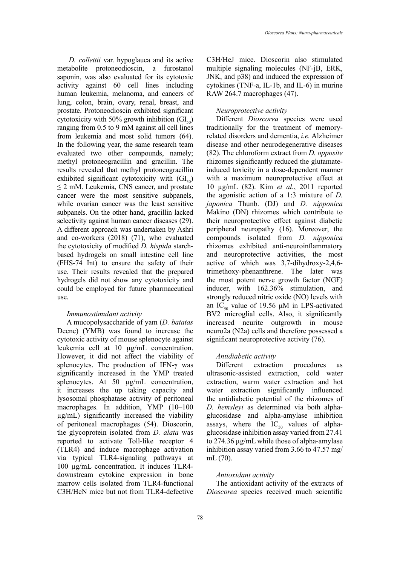*D. collettii* var. hypoglauca and its active metabolite protoneodioscin, a furostanol saponin, was also evaluated for its cytotoxic activity against 60 cell lines including human leukemia, melanoma, and cancers of lung, colon, brain, ovary, renal, breast, and prostate. Protoneodioscin exhibited significant cytotoxicity with 50% growth inhibition  $\left(\frac{GL_{50}}{2}\right)$ ranging from 0.5 to 9 mM against all cell lines from leukemia and most solid tumors (64). In the following year, the same research team evaluated two other compounds, namely; methyl protoneogracillin and gracillin. The results revealed that methyl protoneogracillin exhibited significant cytotoxicity with  $\left(\frac{GL}{100}\right)$ ≤ 2 mM. Leukemia, CNS cancer, and prostate cancer were the most sensitive subpanels, while ovarian cancer was the least sensitive subpanels. On the other hand, gracillin lacked selectivity against human cancer diseases (29). A different approach was undertaken by Ashri and co-workers (2018) (71), who evaluated the cytotoxicity of modified *D. hispida* starchbased hydrogels on small intestine cell line (FHS-74 Int) to ensure the safety of their use. Their results revealed that the prepared hydrogels did not show any cytotoxicity and could be employed for future pharmaceutical use.

#### *Immunostimulant activity*

A mucopolysaccharide of yam (*D. batatas*  Decne) (YMB) was found to increase the cytotoxic activity of mouse splenocyte against leukemia cell at 10 µg/mL concentration. However, it did not affect the viability of splenocytes. The production of IFN-γ was significantly increased in the YMP treated splenocytes. At 50 µg/mL concentration, it increases the up taking capacity and lysosomal phosphatase activity of peritoneal macrophages. In addition, YMP (10–100 µg/mL) significantly increased the viability of peritoneal macrophages (54). Dioscorin, the glycoprotein isolated from *D. alata* was reported to activate Toll-like receptor 4 (TLR4) and induce macrophage activation via typical TLR4-signaling pathways at 100 µg/mL concentration. It induces TLR4 downstream cytokine expression in bone marrow cells isolated from TLR4-functional C3H/HeN mice but not from TLR4-defective

C3H/HeJ mice. Dioscorin also stimulated multiple signaling molecules (NF-jB, ERK, JNK, and p38) and induced the expression of cytokines (TNF-a, IL-1b, and IL-6) in murine RAW 264.7 macrophages (47).

### *Neuroprotective activity*

Different *Dioscorea* species were used traditionally for the treatment of memoryrelated disorders and dementia, *i.e.* Alzheimer disease and other neurodegenerative diseases (82). The chloroform extract from *D. opposite*  rhizomes significantly reduced the glutamateinduced toxicity in a dose-dependent manner with a maximum neuroprotective effect at 10 µg/mL (82). Kim *et al.*, 2011 reported the agonistic action of a 1:3 mixture of *D. japonica* Thunb. (DJ) and *D. nipponica* Makino (DN) rhizomes which contribute to their neuroprotective effect against diabetic peripheral neuropathy (16). Moreover, the compounds isolated from *D. nipponica* rhizomes exhibited anti-neuroinflammatory and neuroprotective activities, the most active of which was 3,7-dihydroxy-2,4,6 trimethoxy-phenanthrene. The later was the most potent nerve growth factor (NGF) inducer, with 162.36% stimulation, and strongly reduced nitric oxide (NO) levels with an  $IC_{50}$  value of 19.56 μM in LPS-activated BV2 microglial cells. Also, it significantly increased neurite outgrowth in mouse neuro2a (N2a) cells and therefore possessed a significant neuroprotective activity (76).

### *Antidiabetic activity*

Different extraction procedures as ultrasonic-assisted extraction, cold water extraction, warm water extraction and hot water extraction significantly influenced the antidiabetic potential of the rhizomes of *D. hemsleyi* as determined via both alphaglucosidase and alpha-amylase inhibition assays, where the  $IC_{50}$  values of alphaglucosidase inhibition assay varied from 27.41 to 274.36 µg/mL while those of alpha-amylase inhibition assay varied from 3.66 to 47.57 mg/ mL (70).

# *Antioxidant activity*

The antioxidant activity of the extracts of *Dioscorea* species received much scientific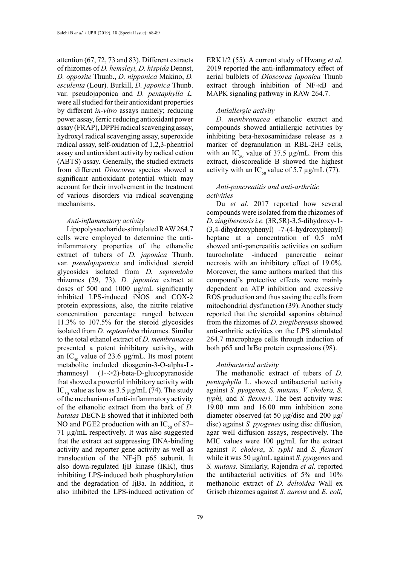attention (67, 72, 73 and 83). Different extracts of rhizomes of *D. hemsleyi, D. hispida* Dennst, *D. opposite* Thunb., *D. nipponica* Makino, *D. esculenta* (Lour). Burkill, *D. japonica* Thunb. var. pseudojaponica and *D. pentaphylla L.*  were all studied for their antioxidant properties by different *in-vitro* assays namely; reducing power assay, ferric reducing antioxidant power assay (FRAP), DPPH radical scavenging assay, hydroxyl radical scavenging assay, superoxide radical assay, self-oxidation of 1,2,3-phentriol assay and antioxidant activity by radical cation (ABTS) assay. Generally, the studied extracts from different *Dioscorea* species showed a significant antioxidant potential which may account for their involvement in the treatment of various disorders via radical scavenging mechanisms.

#### *Anti-inflammatory activity*

Lipopolysaccharide-stimulated RAW 264.7 cells were employed to determine the antiinflammatory properties of the ethanolic extract of tubers of *D. japonica* Thunb. var. *pseudojaponica* and individual steroid glycosides isolated from *D. septemloba* rhizomes (29, 73). *D. japonica* extract at doses of 500 and 1000 µg/mL significantly inhibited LPS-induced iNOS and COX-2 protein expressions, also, the nitrite relative concentration percentage ranged between 11.3% to 107.5% for the steroid glycosides isolated from *D. septemloba* rhizomes. Similar to the total ethanol extract of *D. membranacea* presented a potent inhibitory activity, with an  $IC_{50}$  value of 23.6  $\mu$ g/mL. Its most potent metabolite included diosgenin-3-O-alpha-Lrhamnosyl (1-->2)-beta-D-glucopyranoside that showed a powerful inhibitory activity with IC<sub>50</sub> value as low as 3.5  $\mu$ g/mL (74). The study of the mechanism of anti-inflammatory activity of the ethanolic extract from the bark of *D. batatas* DECNE showed that it inhibited both NO and PGE2 production with an  $IC_{50}$  of 87– 71 µg/mL respectively. It was also suggested that the extract act suppressing DNA-binding activity and reporter gene activity as well as translocation of the NF-jB p65 subunit. It also down-regulated IjB kinase (IKK), thus inhibiting LPS-induced both phosphorylation and the degradation of IjBa. In addition, it also inhibited the LPS-induced activation of ERK1/2 (55). A current study of Hwang *et al.* 2019 reported the anti-inflammatory effect of aerial bulblets of *Dioscorea japonica* Thunb extract through inhibition of NF-κB and MAPK signaling pathway in RAW 264.7.

#### *Antiallergic activity*

*D. membranacea* ethanolic extract and compounds showed antiallergic activities by inhibiting beta-hexosaminidase release as a marker of degranulation in RBL-2H3 cells, with an IC<sub>50</sub> value of 37.5  $\mu$ g/mL. From this extract, dioscorealide B showed the highest activity with an IC<sub>50</sub> value of 5.7  $\mu$ g/mL (77).

# *Anti-pancreatitis and anti-arthritic activities*

Du *et al.* 2017 reported how several compounds were isolated from the rhizomes of *D. zingiberensisi.e.* (3R,5R)-3,5-dihydroxy-1- (3,4-dihydroxyphenyl) -7-(4-hydroxyphenyl) heptane at a concentration of 0.5 mM showed anti-pancreatitis activities on sodium taurocholate -induced pancreatic acinar necrosis with an inhibitory effect of 19.0%. Moreover, the same authors marked that this compound's protective effects were mainly dependent on ATP inhibition and excessive ROS production and thus saving the cells from mitochondrial dysfunction (39). Another study reported that the steroidal saponins obtained from the rhizomes of *D. zingiberensis* showed anti-arthritic activities on the LPS stimulated 264.7 macrophage cells through induction of both p65 and IκBα protein expressions  $(98)$ .

### *Antibacterial activity*

The methanolic extract of tubers of *D. pentaphylla* L. showed antibacterial activity against *S. pyogenes, S. mutans, V. cholera, S. typhi,* and *S. flexneri*. The best activity was: 19.00 mm and 16.00 mm inhibition zone diameter observed (at 50 μg/disc and 200 μg/ disc) against *S. pyogenes* using disc diffusion, agar well diffusion assays, respectively. The MIC values were 100 μg/mL for the extract against *V. cholera*, *S. typhi* and *S. flexneri* while it was 50 μg/mL against *S. pyogenes* and *S. mutans.* Similarly, Rajendra *et al.* reported the antibacterial activities of 5% and 10% methanolic extract of *D. deltoidea* Wall ex Griseb rhizomes against *S. aureus* and *E. coli,*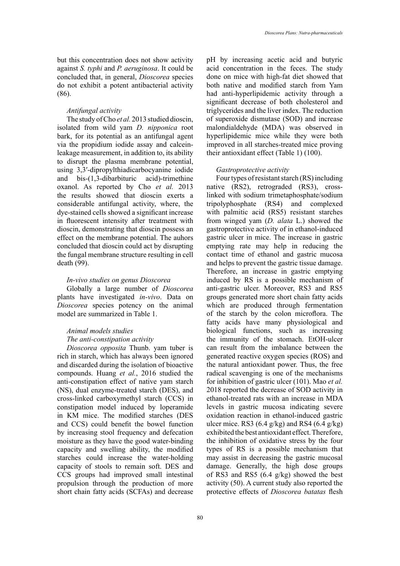but this concentration does not show activity against *S. typhi* and *P. aeruginosa*. It could be concluded that, in general, *Dioscorea* species do not exhibit a potent antibacterial activity (86).

#### *Antifungal activity*

The study of Cho *et al.* 2013 studied dioscin, isolated from wild yam *D. nipponica* root bark, for its potential as an antifungal agent via the propidium iodide assay and calceinleakage measurement, in addition to, its ability to disrupt the plasma membrane potential, using 3,3′-dipropylthiadicarbocyanine iodide and bis-(1,3-dibarbituric acid)-trimethine oxanol. As reported by Cho *et al.* 2013 the results showed that dioscin exerts a considerable antifungal activity, where, the dye-stained cells showed a significant increase in fluorescent intensity after treatment with dioscin, demonstrating that dioscin possess an effect on the membrane potential. The auhors concluded that dioscin could act by disrupting the fungal membrane structure resulting in cell death (99).

#### *In-vivo studies on genus Dioscorea*

Globally a large number of *Dioscorea* plants have investigated *in-vivo*. Data on *Dioscorea* species potency on the animal model are summarized in Table 1.

# *Animal models studies The anti-constipation activity*

*Dioscorea opposita* Thunb. yam tuber is rich in starch, which has always been ignored and discarded during the isolation of bioactive compounds. Huang *et al.*, 2016 studied the anti-constipation effect of native yam starch (NS), dual enzyme-treated starch (DES), and cross-linked carboxymethyl starch (CCS) in constipation model induced by loperamide in KM mice. The modified starches (DES and CCS) could benefit the bowel function by increasing stool frequency and defecation moisture as they have the good water-binding capacity and swelling ability, the modified starches could increase the water-holding capacity of stools to remain soft. DES and CCS groups had improved small intestinal propulsion through the production of more short chain fatty acids (SCFAs) and decrease pH by increasing acetic acid and butyric acid concentration in the feces. The study done on mice with high-fat diet showed that both native and modified starch from Yam had anti-hyperlipidemic activity through a significant decrease of both cholesterol and triglycerides and the liver index. The reduction of superoxide dismutase (SOD) and increase malondialdehyde (MDA) was observed in hyperlipidemic mice while they were both improved in all starches-treated mice proving their antioxidant effect (Table 1) (100).

#### *Gastroprotective activity*

Four types of resistant starch (RS) including native (RS2), retrograded (RS3), crosslinked with sodium trimetaphosphate/sodium tripolyphosphate (RS4) and complexed with palmitic acid (RS5) resistant starches from winged yam (*D. alata* L.) showed the gastroprotective activity of in ethanol-induced gastric ulcer in mice. The increase in gastric emptying rate may help in reducing the contact time of ethanol and gastric mucosa and helps to prevent the gastric tissue damage. Therefore, an increase in gastric emptying induced by RS is a possible mechanism of anti-gastric ulcer. Moreover, RS3 and RS5 groups generated more short chain fatty acids which are produced through fermentation of the starch by the colon microflora. The fatty acids have many physiological and biological functions, such as increasing the immunity of the stomach. EtOH-ulcer can result from the imbalance between the generated reactive oxygen species (ROS) and the natural antioxidant power. Thus, the free radical scavenging is one of the mechanisms for inhibition of gastric ulcer (101). Mao *et al.* 2018 reported the decrease of SOD activity in ethanol-treated rats with an increase in MDA levels in gastric mucosa indicating severe oxidation reaction in ethanol-induced gastric ulcer mice. RS3  $(6.4 \text{ g/kg})$  and RS4  $(6.4 \text{ g/kg})$ exhibited the best antioxidant effect. Therefore, the inhibition of oxidative stress by the four types of RS is a possible mechanism that may assist in decreasing the gastric mucosal damage. Generally, the high dose groups of RS3 and RS5 (6.4 g/kg) showed the best activity (50). A current study also reported the protective effects of *Dioscorea batatas* flesh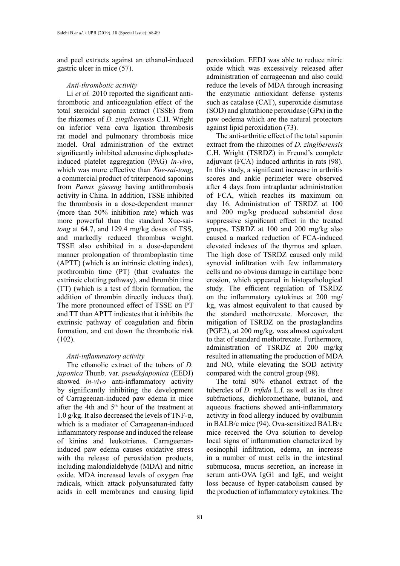and peel extracts against an ethanol-induced gastric ulcer in mice (57).

### *Anti-thrombotic activity*

Li *et al.* 2010 reported the significant antithrombotic and anticoagulation effect of the total steroidal saponin extract (TSSE) from the rhizomes of *D. zingiberensis* C.H. Wright on inferior vena cava ligation thrombosis rat model and pulmonary thrombosis mice model. Oral administration of the extract significantly inhibited adenosine diphosphateinduced platelet aggregation (PAG) *in-vivo*, which was more effective than *Xue-sai-tong*, a commercial product of triterpenoid saponins from *Panax ginseng* having antithrombosis activity in China. In addition, TSSE inhibited the thrombosis in a dose-dependent manner (more than 50% inhibition rate) which was more powerful than the standard Xue-sai*tong* at 64.7, and 129.4 mg/kg doses of TSS, and markedly reduced thrombus weight. TSSE also exhibited in a dose-dependent manner prolongation of thromboplastin time (APTT) (which is an intrinsic clotting index), prothrombin time (PT) (that evaluates the extrinsic clotting pathway), and thrombin time (TT) (which is a test of fibrin formation, the addition of thrombin directly induces that). The more pronounced effect of TSSE on PT and TT than APTT indicates that it inhibits the extrinsic pathway of coagulation and fibrin formation, and cut down the thrombotic risk (102).

### *Anti-inflammatory activity*

The ethanolic extract of the tubers of *D. japonica* Thunb. var. *pseudojaponica* (EEDJ) showed *in-vivo* anti-inflammatory activity by significantly inhibiting the development of Carrageenan-induced paw edema in mice after the 4th and 5th hour of the treatment at 1.0 g/kg. It also decreased the levels of TNF- $\alpha$ , which is a mediator of Carrageenan-induced inflammatory response and induced the release of kinins and leukotrienes. Carrageenaninduced paw edema causes oxidative stress with the release of peroxidation products, including malondialdehyde (MDA) and nitric oxide. MDA increased levels of oxygen free radicals, which attack polyunsaturated fatty acids in cell membranes and causing lipid

peroxidation. EEDJ was able to reduce nitric oxide which was excessively released after administration of carrageenan and also could reduce the levels of MDA through increasing the enzymatic antioxidant defense systems such as catalase (CAT), superoxide dismutase (SOD) and glutathione peroxidase (GPx) in the paw oedema which are the natural protectors against lipid peroxidation (73).

The anti-arthritic effect of the total saponin extract from the rhizomes of *D. zingiberensis*  C.H. Wright (TSRDZ) in Freund's complete adjuvant (FCA) induced arthritis in rats (98). In this study, a significant increase in arthritis scores and ankle perimeter were observed after 4 days from intraplantar administration of FCA, which reaches its maximum on day 16. Administration of TSRDZ at 100 and 200 mg/kg produced substantial dose suppressive significant effect in the treated groups. TSRDZ at 100 and 200 mg/kg also caused a marked reduction of FCA-induced elevated indexes of the thymus and spleen. The high dose of TSRDZ caused only mild synovial infiltration with few inflammatory cells and no obvious damage in cartilage bone erosion, which appeared in histopathological study. The efficient regulation of TSRDZ on the inflammatory cytokines at 200 mg/ kg, was almost equivalent to that caused by the standard methotrexate. Moreover, the mitigation of TSRDZ on the prostaglandins (PGE2), at 200 mg/kg, was almost equivalent to that of standard methotrexate. Furthermore, administration of TSRDZ at 200 mg/kg resulted in attenuating the production of MDA and NO, while elevating the SOD activity compared with the control group (98).

The total 80% ethanol extract of the tubercles of *D. trifida* L.f. as well as its three subfractions, dichloromethane, butanol, and aqueous fractions showed anti-inflammatory activity in food allergy induced by ovalbumin in BALB/c mice (94). Ova-sensitized BALB/c mice received the Ova solution to develop local signs of inflammation characterized by eosinophil infiltration, edema, an increase in a number of mast cells in the intestinal submucosa, mucus secretion, an increase in serum anti-OVA IgG1 and IgE, and weight loss because of hyper-catabolism caused by the production of inflammatory cytokines. The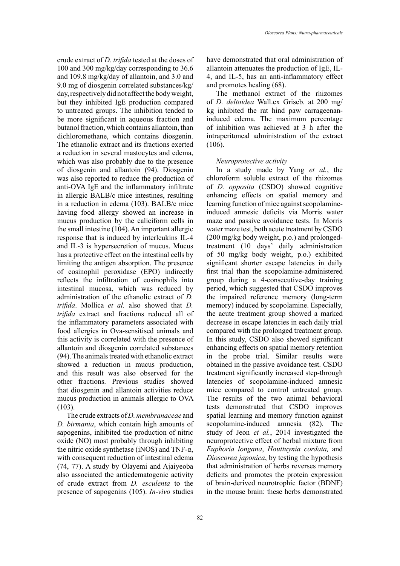crude extract of *D. trifida* tested at the doses of 100 and 300 mg/kg/day corresponding to 36.6 and 109.8 mg/kg/day of allantoin, and 3.0 and 9.0 mg of diosgenin correlated substances/kg/ day, respectively did not affect the body weight, but they inhibited IgE production compared to untreated groups. The inhibition tended to be more significant in aqueous fraction and butanol fraction, which contains allantoin, than dichloromethane, which contains diosgenin. The ethanolic extract and its fractions exerted a reduction in several mastocytes and edema, which was also probably due to the presence of diosgenin and allantoin (94). Diosgenin was also reported to reduce the production of anti-OVA IgE and the inflammatory infiltrate in allergic BALB/c mice intestines, resulting in a reduction in edema (103). BALB/c mice having food allergy showed an increase in mucus production by the caliciform cells in the small intestine (104). An important allergic response that is induced by interleukins IL-4 and IL-3 is hypersecretion of mucus. Mucus has a protective effect on the intestinal cells by limiting the antigen absorption. The presence of eosinophil peroxidase (EPO) indirectly reflects the infiltration of eosinophils into intestinal mucosa, which was reduced by administration of the ethanolic extract of *D. trifida*. Mollica *et al.* also showed that *D. trifida* extract and fractions reduced all of the inflammatory parameters associated with food allergies in Ova-sensitised animals and this activity is correlated with the presence of allantoin and diosgenin correlated substances (94). The animals treated with ethanolic extract showed a reduction in mucus production, and this result was also observed for the other fractions. Previous studies showed that diosgenin and allantoin activities reduce mucus production in animals allergic to OVA (103).

The crude extracts of *D. membranaceae* and *D. birmania*, which contain high amounts of sapogenins, inhibited the production of nitric oxide (NO) most probably through inhibiting the nitric oxide synthetase (iNOS) and TNF- $\alpha$ , with consequent reduction of intestinal edema (74, 77). A study by Olayemi and Ajaiyeoba also associated the antiedematogenic activity of crude extract from *D. esculenta* to the presence of sapogenins (105). *In-vivo* studies

have demonstrated that oral administration of allantoin attenuates the production of IgE, IL-4, and IL-5, has an anti-inflammatory effect and promotes healing (68).

The methanol extract of the rhizomes of *D. deltoidea* Wall.ex Griseb. at 200 mg/ kg inhibited the rat hind paw carrageenaninduced edema. The maximum percentage of inhibition was achieved at 3 h after the intraperitoneal administration of the extract (106).

### *Neuroprotective activity*

In a study made by Yang *et al.*, the chloroform soluble extract of the rhizomes of *D. opposita* (CSDO) showed cognitive enhancing effects on spatial memory and learning function of mice against scopolamineinduced amnesic deficits via Morris water maze and passive avoidance tests. In Morris water maze test, both acute treatment by CSDO (200 mg/kg body weight, p.o.) and prolongedtreatment (10 days' daily administration of 50 mg/kg body weight, p.o.) exhibited significant shorter escape latencies in daily first trial than the scopolamine-administered group during a 4-consecutive-day training period, which suggested that CSDO improves the impaired reference memory (long-term memory) induced by scopolamine. Especially, the acute treatment group showed a marked decrease in escape latencies in each daily trial compared with the prolonged treatment group. In this study, CSDO also showed significant enhancing effects on spatial memory retention in the probe trial. Similar results were obtained in the passive avoidance test. CSDO treatment significantly increased step-through latencies of scopolamine-induced amnesic mice compared to control untreated group. The results of the two animal behavioral tests demonstrated that CSDO improves spatial learning and memory function against scopolamine-induced amnesia (82). The study of Jeon *et al.*, 2014 investigated the neuroprotective effect of herbal mixture from *Euphoria longana*, *Houttuynia cordata,* and *Dioscorea japonica*, by testing the hypothesis that administration of herbs reverses memory deficits and promotes the protein expression of brain-derived neurotrophic factor (BDNF) in the mouse brain: these herbs demonstrated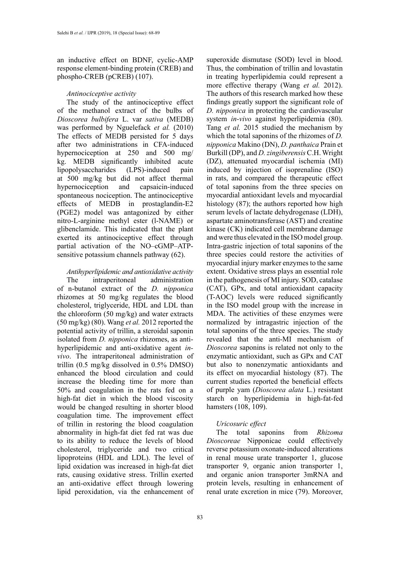an inductive effect on BDNF, cyclic-AMP response element-binding protein (CREB) and phospho-CREB (pCREB) (107).

### *Antinociceptive activity*

The study of the antinociceptive effect of the methanol extract of the bulbs of *Dioscorea bulbifera* L. var *sativa* (MEDB) was performed by Nguelefack *et al.* (2010) The effects of MEDB persisted for 5 days after two administrations in CFA-induced hypernociception at 250 and 500 mg/ kg. MEDB significantly inhibited acute lipopolysaccharides (LPS)-induced pain at 500 mg/kg but did not affect thermal hypernociception and capsaicin-induced spontaneous nociception. The antinociceptive effects of MEDB in prostaglandin-E2 (PGE2) model was antagonized by either nitro-L-arginine methyl ester (l-NAME) or glibenclamide. This indicated that the plant exerted its antinociceptive effect through partial activation of the NO–cGMP–ATPsensitive potassium channels pathway (62).

# *Antihyperlipidemic and antioxidative activity*

The intraperitoneal administration of n-butanol extract of the *D. nipponica* rhizomes at 50 mg/kg regulates the blood cholesterol, triglyceride, HDL and LDL than the chloroform (50 mg/kg) and water extracts (50 mg/kg) (80). Wang *et al.* 2012 reported the potential activity of trillin, a steroidal saponin isolated from *D. nipponica* rhizomes, as antihyperlipidemic and anti-oxidative agent *invivo*. The intraperitoneal administration of trillin (0.5 mg/kg dissolved in 0.5% DMSO) enhanced the blood circulation and could increase the bleeding time for more than 50% and coagulation in the rats fed on a high-fat diet in which the blood viscosity would be changed resulting in shorter blood coagulation time. The improvement effect of trillin in restoring the blood coagulation abnormality in high-fat diet fed rat was due to its ability to reduce the levels of blood cholesterol, triglyceride and two critical lipoproteins (HDL and LDL). The level of lipid oxidation was increased in high-fat diet rats, causing oxidative stress. Trillin exerted an anti-oxidative effect through lowering lipid peroxidation, via the enhancement of

superoxide dismutase (SOD) level in blood. Thus, the combination of trillin and lovastatin in treating hyperlipidemia could represent a more effective therapy (Wang *et al.* 2012). The authors of this research marked how these findings greatly support the significant role of *D. nipponica* in protecting the cardiovascular system *in-vivo* against hyperlipidemia (80). Tang *et al.* 2015 studied the mechanism by which the total saponins of the rhizomes of *D. nipponica* Makino (DN), *D. panthaica* Prain et Burkill (DP), and *D. zingiberensis* C.H. Wright (DZ), attenuated myocardial ischemia (MI) induced by injection of isoprenaline (ISO) in rats, and compared the therapeutic effect of total saponins from the three species on myocardial antioxidant levels and myocardial histology (87); the authors reported how high serum levels of lactate dehydrogenase (LDH), aspartate aminotransferase (AST) and creatine kinase (CK) indicated cell membrane damage and were thus elevated in the ISO model group. Intra-gastric injection of total saponins of the three species could restore the activities of myocardial injury marker enzymes to the same extent. Oxidative stress plays an essential role in the pathogenesis of MI injury. SOD, catalase (CAT), GPx, and total antioxidant capacity (T-AOC) levels were reduced significantly in the ISO model group with the increase in MDA. The activities of these enzymes were normalized by intragastric injection of the total saponins of the three species. The study revealed that the anti-MI mechanism of *Dioscorea* saponins is related not only to the enzymatic antioxidant, such as GPx and CAT but also to nonenzymatic antioxidants and its effect on myocardial histology (87). The current studies reported the beneficial effects of purple yam (*Dioscorea alata* L.) resistant starch on hyperlipidemia in high-fat-fed hamsters (108, 109).

# *Uricosuric effect*

The total saponins from *Rhizoma Dioscoreae* Nipponicae could effectively reverse potassium oxonate-induced alterations in renal mouse urate transporter 1, glucose transporter 9, organic anion transporter 1, and organic anion transporter 3mRNA and protein levels, resulting in enhancement of renal urate excretion in mice (79). Moreover,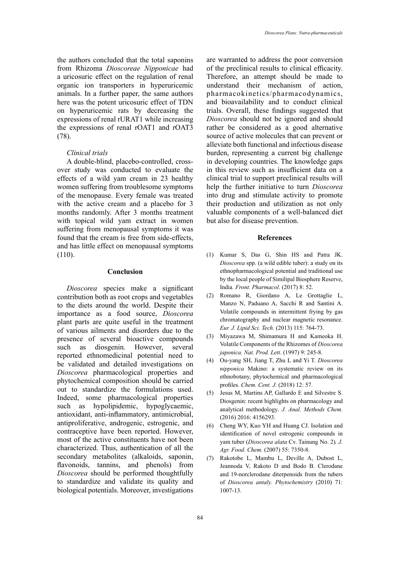the authors concluded that the total saponins from Rhizoma *Dioscoreae Nipponicae* had a uricosuric effect on the regulation of renal organic ion transporters in hyperuricemic animals. In a further paper, the same authors here was the potent uricosuric effect of TDN on hyperuricemic rats by decreasing the expressions of renal rURAT1 while increasing the expressions of renal rOAT1 and rOAT3 (78).

#### *Clinical trials*

A double-blind, placebo-controlled, crossover study was conducted to evaluate the effects of a wild yam cream in 23 healthy women suffering from troublesome symptoms of the menopause. Every female was treated with the active cream and a placebo for 3 months randomly. After 3 months treatment with topical wild yam extract in women suffering from menopausal symptoms it was found that the cream is free from side-effects, and has little effect on menopausal symptoms (110).

### **Conclusion**

*Dioscorea* species make a significant contribution both as root crops and vegetables to the diets around the world. Despite their importance as a food source, *Dioscorea* plant parts are quite useful in the treatment of various ailments and disorders due to the presence of several bioactive compounds such as diosgenin. However, several reported ethnomedicinal potential need to be validated and detailed investigations on *Dioscorea* pharmacological properties and phytochemical composition should be carried out to standardize the formulations used. Indeed, some pharmacological properties such as hypolipidemic, hypoglycaemic, antioxidant, anti-inflammatory, antimicrobial, antiproliferative, androgenic, estrogenic, and contraceptive have been reported. However, most of the active constituents have not been characterized. Thus, authentication of all the secondary metabolites (alkaloids, saponin, flavonoids, tannins, and phenols) from *Dioscorea* should be performed thoughtfully to standardize and validate its quality and biological potentials. Moreover, investigations

are warranted to address the poor conversion of the preclinical results to clinical efficacity. Therefore, an attempt should be made to understand their mechanism of action, pharmacokinetics/pharmacodynamics, and bioavailability and to conduct clinical trials. Overall, these findings suggested that *Dioscorea* should not be ignored and should rather be considered as a good alternative source of active molecules that can prevent or alleviate both functional and infectious disease burden, representing a current big challenge in developing countries. The knowledge gaps in this review such as insufficient data on a clinical trial to support preclinical results will help the further initiative to turn *Dioscorea* into drug and stimulate activity to promote their production and utilization as not only valuable components of a well-balanced diet but also for disease prevention.

#### **References**

- (1) Kumar S, Das G, Shin HS and Patra JK. *Dioscorea* spp. (a wild edible tuber): a study on its ethnopharmacological potential and traditional use by the local people of Similipal Biosphere Reserve, India*. Front. Pharmacol*. (2017) 8: 52.
- (2) Romano R, Giordano A, Le Grottaglie L, Manzo N, Paduano A, Sacchi R and Santini A. Volatile compounds in intermittent frying by gas chromatography and nuclear magnetic resonance*. Eur. J. Lipid Sci. Tech.* (2013) 115: 764-73.
- (3) Miyazawa M, Shimamura H and Kameoka H. Volatile Components of the Rhizomes of *Dioscorea japonica. Nat. Prod. Lett*. (1997) 9: 245-8.
- (4) Ou-yang SH, Jiang T, Zhu L and Yi T. *Dioscorea nipponica* Makino: a systematic review on its ethnobotany, phytochemical and pharmacological profiles*. Chem. Cent. J.* (2018) 12: 57.
- (5) Jesus M, Martins AP, Gallardo E and Silvestre S. Diosgenin: recent highlights on pharmacology and analytical methodology*. J. Anal. Methods Chem.* (2016) 2016: 4156293.
- (6) Cheng WY, Kuo YH and Huang CJ. Isolation and identification of novel estrogenic compounds in yam tuber (*Dioscorea alata* Cv. Tainung No. 2)*. J. Agr. Food. Chem.* (2007) 55: 7350-8.
- (7) Rakotobe L, Mambu L, Deville A, Dubost L, Jeannoda V, Rakoto D and Bodo B. Clerodane and 19-norclerodane diterpenoids from the tubers of *Dioscorea antaly. Phytochemistry* (2010) 71: 1007-13.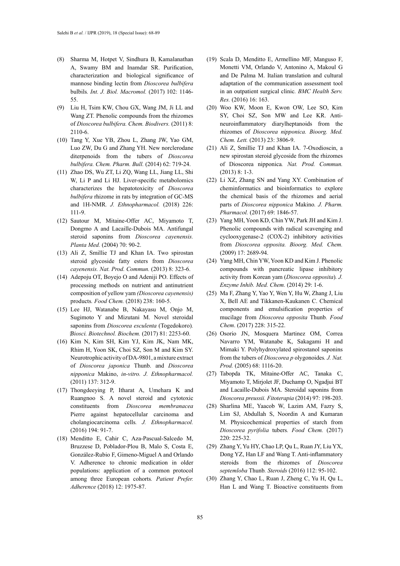- (8) Sharma M, Hotpet V, Sindhura B, Kamalanathan A, Swamy BM and Inamdar SR. Purification, characterization and biological significance of mannose binding lectin from *Dioscorea bulbifera* bulbils*. Int. J. Biol. Macromol.* (2017) 102: 1146- 55.
- (9) Liu H, Tsim KW, Chou GX, Wang JM, Ji LL and Wang ZT. Phenolic compounds from the rhizomes of *Dioscorea bulbifera. Chem. Biodivers.* (2011) 8: 2110-6.
- (10) Tang Y, Xue YB, Zhou L, Zhang JW, Yao GM, Luo ZW, Du G and Zhang YH. New norclerodane diterpenoids from the tubers of *Dioscorea bulbifera. Chem. Pharm. Bull.* (2014) 62: 719-24.
- (11) Zhao DS, Wu ZT, Li ZQ, Wang LL, Jiang LL, Shi W, Li P and Li HJ. Liver-specific metabolomics characterizes the hepatotoxicity of *Dioscorea bulbifera* rhizome in rats by integration of GC-MS and 1H-NMR*. J. Ethnopharmacol.* (2018) 226: 111-9.
- (12) Sautour M, Mitaine-Offer AC, Miyamoto T, Dongmo A and Lacaille-Dubois MA. Antifungal steroid saponins from *Dioscorea cayenensis. Planta Med.* (2004) 70: 90-2.
- (13) Ali Z, Smillie TJ and Khan IA. Two spirostan steroid glycoside fatty esters from *Dioscorea cayenensis. Nat. Prod. Commun.* (2013) 8: 323-6.
- (14) Adepoju OT, Boyejo O and Adeniji PO. Effects of processing methods on nutrient and antinutrient composition of yellow yam *(Dioscorea cayenensis)* products*. Food Chem.* (2018) 238: 160-5.
- (15) Lee HJ, Watanabe B, Nakayasu M, Onjo M, Sugimoto Y and Mizutani M. Novel steroidal saponins from *Dioscorea esculenta* (Togedokoro)*. Biosci. Biotechnol. Biochem.* (2017) 81: 2253-60.
- (16) Kim N, Kim SH, Kim YJ, Kim JK, Nam MK, Rhim H, Yoon SK, Choi SZ, Son M and Kim SY. Neurotrophic activity of DA-9801, a mixture extract of *Dioscorea japonica* Thunb. and *Dioscorea nipponica* Makino, *in-vitro. J. Ethnopharmacol.* (2011) 137: 312-9.
- (17) Thongdeeying P, Itharat A, Umehara K and Ruangnoo S. A novel steroid and cytotoxic constituents from *Dioscorea membranacea* Pierre against hepatocellular carcinoma and cholangiocarcinoma cells*. J. Ethnopharmacol.* (2016) 194: 91-7.
- (18) Menditto E, Cahir C, Aza-Pascual-Salcedo M, Bruzzese D, Poblador-Plou B, Malo S, Costa E, González-Rubio F, Gimeno-Miguel A and Orlando V. Adherence to chronic medication in older populations: application of a common protocol among three European cohorts*. Patient Prefer. Adherence* (2018) 12: 1975-87.
- (19) Scala D, Menditto E, Armellino MF, Manguso F, Monetti VM, Orlando V, Antonino A, Makoul G and De Palma M. Italian translation and cultural adaptation of the communication assessment tool in an outpatient surgical clinic*. BMC Health Serv. Res.* (2016) 16: 163.
- (20) Woo KW, Moon E, Kwon OW, Lee SO, Kim SY, Choi SZ, Son MW and Lee KR. Antineuroinflammatory diarylheptanoids from the rhizomes of *Dioscorea nipponica. Bioorg. Med. Chem. Lett.* (2013) 23: 3806-9.
- (21) Ali Z, Smillie TJ and Khan IA. 7-Oxodioscin, a new spirostan steroid glycoside from the rhizomes of Dioscorea nipponica*. Nat. Prod. Commun.* (2013) 8: 1-3.
- (22) Li XZ, Zhang SN and Yang XY. Combination of cheminformatics and bioinformatics to explore the chemical basis of the rhizomes and aerial parts of *Dioscorea nipponica* Makino*. J. Pharm. Pharmacol.* (2017) 69: 1846-57.
- (23) Yang MH, Yoon KD, Chin YW, Park JH and Kim J. Phenolic compounds with radical scavenging and cyclooxygenase-2 (COX-2) inhibitory activities from *Dioscorea opposita. Bioorg. Med. Chem.* (2009) 17: 2689-94.
- (24) Yang MH, Chin YW, Yoon KD and Kim J. Phenolic compounds with pancreatic lipase inhibitory activity from Korean yam (*Dioscorea opposita*)*. J. Enzyme Inhib. Med. Chem.* (2014) 29: 1-6.
- (25) Ma F, Zhang Y, Yao Y, Wen Y, Hu W, Zhang J, Liu X, Bell AE and Tikkanen-Kaukanen C. Chemical components and emulsification properties of mucilage from *Dioscorea opposita* Thunb*. Food Chem*. (2017) 228: 315-22.
- (26) Osorio JN, Mosquera Martinez OM, Correa Navarro YM, Watanabe K, Sakagami H and Mimaki Y. Polyhydroxylated spirostanol saponins from the tubers of *Dioscorea p* olygonoides*. J. Nat. Prod.* (2005) 68: 1116-20.
- (27) Tabopda TK, Mitaine-Offer AC, Tanaka C, Miyamoto T, Mirjolet JF, Duchamp O, Ngadjui BT and Lacaille-Dubois MA. Steroidal saponins from *Dioscorea preussii. Fitoterapia* (2014) 97: 198-203.
- (28) Sharlina ME, Yaacob W, Lazim AM, Fazry S, Lim SJ, Abdullah S, Noordin A and Kumaran M. Physicochemical properties of starch from *Dioscorea pyrifolia* tubers*. Food Chem.* (2017) 220: 225-32.
- (29) Zhang Y, Yu HY, Chao LP, Qu L, Ruan JY, Liu YX, Dong YZ, Han LF and Wang T. Anti-inflammatory steroids from the rhizomes of *Dioscorea septemloba* Thunb*. Steroids* (2016) 112: 95-102.
- (30) Zhang Y, Chao L, Ruan J, Zheng C, Yu H, Qu L, Han L and Wang T. Bioactive constituents from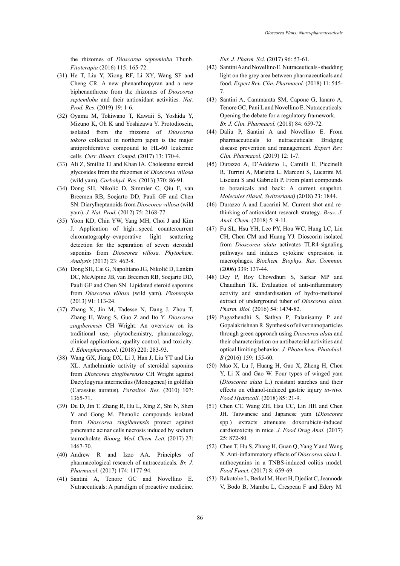the rhizomes of *Dioscorea septemloba* Thunb*. Fitoterapia* (2016) 115: 165-72.

- (31) He T, Liu Y, Xiong RF, Li XY, Wang SF and Cheng CR. A new phenanthropyran and a new biphenanthrene from the rhizomes of *Dioscorea septemloba* and their antioxidant activities*. Nat. Prod. Res*. (2019) 19: 1-6.
- (32) Oyama M, Tokiwano T, Kawaii S, Yoshida Y, Mizuno K, Oh K and Yoshizawa Y. Protodioscin, isolated from the rhizome of *Dioscorea tokoro* collected in northern japan is the major antiproliferative compound to HL-60 leukemic cells*. Curr. Bioact. Compd.* (2017) 13: 170-4.
- (33) Ali Z, Smillie TJ and Khan IA. Cholestane steroid glycosides from the rhizomes of *Dioscorea villosa* (wild yam)*. Carbohyd. Res.* (2013) 370: 86-91.
- (34) Dong SH, Nikolić D, Simmler C, Qiu F, van Breemen RB, Soejarto DD, Pauli GF and Chen SN. Diarylheptanoids from *Dioscorea villosa* (wild yam)*. J. Nat. Prod.* (2012) 75: 2168-77.
- (35) Yoon KD, Chin YW, Yang MH, Choi J and Kim J. Application of high□speed countercurrent chromatography–evaporative light scattering detection for the separation of seven steroidal saponins from *Dioscorea villosa. Phytochem. Analysis* (2012) 23: 462-8.
- (36) Dong SH, Cai G, Napolitano JG, Nikolić D, Lankin DC, McAlpine JB, van Breemen RB, Soejarto DD, Pauli GF and Chen SN. Lipidated steroid saponins from *Dioscorea villosa* (wild yam)*. Fitoterapia* (2013) 91: 113-24.
- (37) Zhang X, Jin M, Tadesse N, Dang J, Zhou T, Zhang H, Wang S, Guo Z and Ito Y. *Dioscorea zingiberensis* CH Wright: An overview on its traditional use, phytochemistry, pharmacology, clinical applications, quality control, and toxicity*. J. Ethnopharmacol.* (2018) 220: 283-93.
- (38) Wang GX, Jiang DX, Li J, Han J, Liu YT and Liu XL. Anthelmintic activity of steroidal saponins from *Dioscorea zingiberensis* CH Wright against Dactylogyrus intermedius (Monogenea) in goldfish (Carassius auratus)*. Parasitol. Res.* (2010) 107: 1365-71.
- (39) Du D, Jin T, Zhang R, Hu L, Xing Z, Shi N, Shen Y and Gong M. Phenolic compounds isolated from *Dioscorea zingiberensis* protect against pancreatic acinar cells necrosis induced by sodium taurocholate*. Bioorg. Med. Chem. Lett.* (2017) 27: 1467-70.
- (40) Andrew R and Izzo AA. Principles of pharmacological research of nutraceuticals*. Br. J. Pharmacol.* (2017) 174: 1177-94.
- (41) Santini A, Tenore GC and Novellino E. Nutraceuticals: A paradigm of proactive medicine*.*

*Eur. J. Pharm. Sci*. (2017) 96: 53-61.

- (42) Santini A and Novellino E. Nutraceuticals shedding light on the grey area between pharmaceuticals and food. *Expert Rev. Clin. Pharmacol.* (2018) 11: 545- 7.
- (43) Santini A, Cammarata SM, Capone G, Ianaro A, Tenore GC, Pani L and Novellino E. Nutraceuticals: Opening the debate for a regulatory framework*. Br. J. Clin. Pharmacol.* (2018) 84: 659-72.
- (44) Daliu P, Santini A and Novellino E. From pharmaceuticals to nutraceuticals: Bridging disease prevention and management*. Expert Rev. Clin. Pharmacol.* (2019) 12: 1-7.
- (45) Durazzo A, D'Addezio L, Camilli E, Piccinelli R, Turrini A, Marletta L, Marconi S, Lucarini M, Lisciani S and Gabrielli P. From plant compounds to botanicals and back: A current snapshot*. Molecules (Basel, Switzerland)* (2018) 23: 1844.
- (46) Durazzo A and Lucarini M. Current shot and rethinking of antioxidant research strategy*. Braz. J. Anal. Chem*. (2018) 5: 9-11.
- (47) Fu SL, Hsu YH, Lee PY, Hou WC, Hung LC, Lin CH, Chen CM and Huang YJ. Dioscorin isolated from *Dioscorea alata* activates TLR4-signaling pathways and induces cytokine expression in macrophages*. Biochem. Biophys. Res. Commun.* (2006) 339: 137-44.
- (48) Dey P, Roy Chowdhuri S, Sarkar MP and Chaudhuri TK. Evaluation of anti-inflammatory activity and standardisation of hydro-methanol extract of underground tuber of *Dioscorea alata. Pharm. Biol.* (2016) 54: 1474-82.
- (49) Pugazhendhi S, Sathya P, Palanisamy P and Gopalakrishnan R. Synthesis of silver nanoparticles through green approach using *Dioscorea alata* and their characterization on antibacterial activities and optical limiting behavior*. J. Photochem. Photobiol. B* (2016) 159: 155-60.
- (50) Mao X, Lu J, Huang H, Gao X, Zheng H, Chen Y, Li X and Gao W. Four types of winged yam (*Dioscorea alata* L.) resistant starches and their effects on ethanol-induced gastric injury *in-vivo. Food Hydrocoll*. (2018) 85: 21-9.
- (51) Chen CT, Wang ZH, Hsu CC, Lin HH and Chen JH. Taiwanese and Japanese yam (*Dioscorea*  spp.) extracts attenuate doxorubicin-induced cardiotoxicity in mice*. J. Food Drug Anal.* (2017) 25: 872-80.
- (52) Chen T, Hu S, Zhang H, Guan Q, Yang Y and Wang X. Anti-inflammatory effects of *Dioscorea alata* L. anthocyanins in a TNBS-induced colitis model*. Food Funct.* (2017) 8: 659-69.
- (53) Rakotobe L, Berkal M, Huet H, Djediat C, Jeannoda V, Bodo B, Mambu L, Crespeau F and Edery M.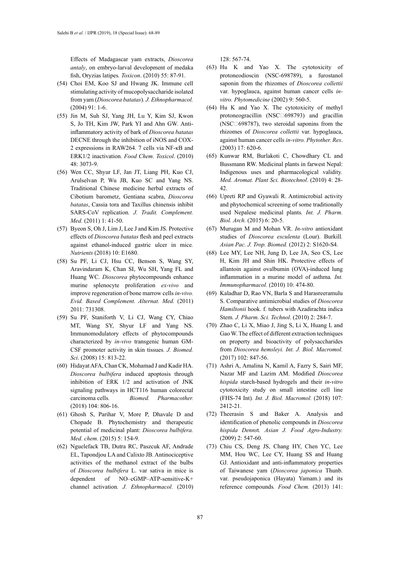Effects of Madagascar yam extracts, *Dioscorea antaly*, on embryo-larval development of medaka fish, Oryzias latipes*. Toxicon*. (2010) 55: 87-91.

- (54) Choi EM, Koo SJ and Hwang JK. Immune cell stimulating activity of mucopolysaccharide isolated from yam (*Dioscorea batatas*)*. J. Ethnopharmacol.* (2004) 91: 1-6.
- (55) Jin M, Suh SJ, Yang JH, Lu Y, Kim SJ, Kwon S, Jo TH, Kim JW, Park YI and Ahn GW. Antiinflammatory activity of bark of *Dioscorea batatas* DECNE through the inhibition of iNOS and COX-2 expressions in RAW264. 7 cells via NF-κB and ERK1/2 inactivation*. Food Chem. Toxicol*. (2010) 48: 3073-9.
- (56) Wen CC, Shyur LF, Jan JT, Liang PH, Kuo CJ, Arulselvan P, Wu JB, Kuo SC and Yang NS. Traditional Chinese medicine herbal extracts of Cibotium barometz, Gentiana scabra, *Dioscorea batatas*, Cassia tora and Taxillus chinensis inhibit SARS-CoV replication*. J. Tradit. Complement. Med.* (2011) 1: 41-50.
- (57) Byeon S, Oh J, Lim J, Lee J and Kim JS. Protective effects of *Dioscorea batatas* flesh and peel extracts against ethanol-induced gastric ulcer in mice*. Nutrients* (2018) 10: E1680.
- (58) Su PF, Li CJ, Hsu CC, Benson S, Wang SY, Aravindaram K, Chan SI, Wu SH, Yang FL and Huang WC. *Dioscorea* phytocompounds enhance murine splenocyte proliferation *ex-vivo* and improve regeneration of bone marrow cells *in-vivo. Evid. Based Complement. Alternat. Med.* (2011) 2011: 731308.
- (59) Su PF, Staniforth V, Li CJ, Wang CY, Chiao MT, Wang SY, Shyur LF and Yang NS. Immunomodulatory effects of phytocompounds characterized by *in-vivo* transgenic human GM-CSF promoter activity in skin tissues*. J. Biomed. Sci*. (2008) 15: 813-22.
- (60) Hidayat AFA, Chan CK, Mohamad J and Kadir HA. *Dioscorea bulbifera* induced apoptosis through inhibition of ERK 1/2 and activation of JNK signaling pathways in HCT116 human colorectal carcinoma cells*. Biomed. Pharmacother.* (2018) 104: 806-16.
- (61) Ghosh S, Parihar V, More P, Dhavale D and Chopade B. Phytochemistry and therapeutic potential of medicinal plant: *Dioscorea bulbifera. Med. chem*. (2015) 5: 154-9.
- (62) Nguelefack TB, Dutra RC, Paszcuk AF, Andrade EL, Tapondjou LA and Calixto JB. Antinociceptive activities of the methanol extract of the bulbs of *Dioscorea bulbifera* L. var sativa in mice is dependent of NO–cGMP–ATP-sensitive-K+ channel activation*. J. Ethnopharmacol.* (2010)

128: 567-74.

- (63) Hu K and Yao X. The cytotoxicity of protoneodioscin (NSC-698789), a furostanol saponin from the rhizomes of *Dioscorea collettii*  var. hypoglauca, against human cancer cells *invitro. Phytomedicine* (2002) 9: 560-5.
- (64) Hu K and Yao X. The cytotoxicity of methyl protoneogracillin (NSC□698793) and gracillin (NSC $\square$ 698787), two steroidal saponins from the rhizomes of *Dioscorea collettii* var. hypoglauca, against human cancer cells *in-vitro. Phytother. Res*. (2003) 17: 620-6.
- (65) Kunwar RM, Burlakoti C, Chowdhary CL and Bussmann RW. Medicinal plants in farwest Nepal: Indigenous uses and pharmacological validity*. Med. Aromat. Plant Sci. Biotechnol*. (2010) 4: 28- 42.
- (66) Upreti RP and Gyawali R. Antimicrobial activity and phytochemical screening of some traditionally used Nepalese medicinal plants*. Int. J. Pharm. Biol. Arch.* (2015) 6: 20-5.
- (67) Murugan M and Mohan VR. *In-vitro* antioxidant studies of *Dioscorea esculenta* (Lour). Burkill*. Asian Pac. J. Trop. Biomed.* (2012) 2: S1620-S4.
- (68) Lee MY, Lee NH, Jung D, Lee JA, Seo CS, Lee H, Kim JH and Shin HK. Protective effects of allantoin against ovalbumin (OVA)-induced lung inflammation in a murine model of asthma*. Int. Immunopharmacol.* (2010) 10: 474-80.
- (69) Kaladhar D, Rao VN, Barla S and Harasreeramulu S. Comparative antimicrobial studies of *Dioscorea Hamiltonii* hook. f. tubers with Azadirachta indica Stem*. J. Pharm. Sci. Technol*. (2010) 2: 284-7.
- (70) Zhao C, Li X, Miao J, Jing S, Li X, Huang L and Gao W. The effect of different extraction techniques on property and bioactivity of polysaccharides from *Dioscorea hemsleyi. Int. J. Biol. Macromol.* (2017) 102: 847-56.
- (71) Ashri A, Amalina N, Kamil A, Fazry S, Sairi MF, Nazar MF and Lazim AM. Modified *Dioscorea hispida* starch-based hydrogels and their *in-vitro* cytotoxicity study on small intestine cell line (FHS-74 Int)*. Int. J. Biol. Macromol.* (2018) 107: 2412-21.
- (72) Theerasin S and Baker A. Analysis and identification of phenolic compounds in *Dioscorea hispida Denns*t*. Asian J. Food Agro-Industry.* (2009) 2: 547-60.
- (73) Chiu CS, Deng JS, Chang HY, Chen YC, Lee MM, Hou WC, Lee CY, Huang SS and Huang GJ. Antioxidant and anti-inflammatory properties of Taiwanese yam (*Dioscorea japonica* Thunb. var. pseudojaponica (Hayata) Yamam.) and its reference compounds*. Food Chem.* (2013) 141: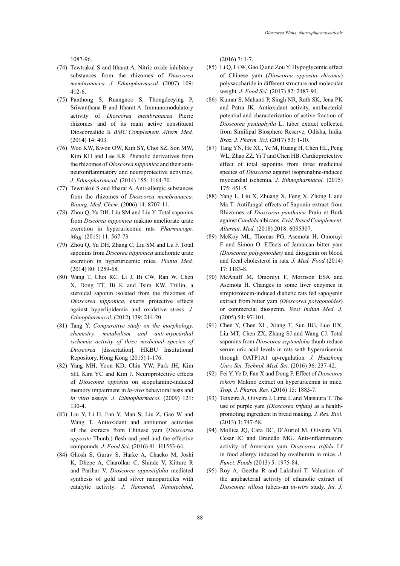1087-96.

- (74) Tewtrakul S and Itharat A. Nitric oxide inhibitory substances from the rhizomes of *Dioscorea membranacea. J. Ethnopharmacol.* (2007) 109: 412-6.
- (75) Panthong S, Ruangnoo S, Thongdeeying P, Sriwanthana B and Itharat A. Immunomodulatory activity of *Dioscorea membranacea* Pierre rhizomes and of its main active constituent Dioscorealide B*. BMC Complement. Altern. Med.* (2014) 14: 403.
- (76) Woo KW, Kwon OW, Kim SY, Choi SZ, Son MW, Kim KH and Lee KR. Phenolic derivatives from the rhizomes of *Dioscorea nipponica* and their antineuroinflammatory and neuroprotective activities*. J. Ethnopharmacol.* (2014) 155: 1164-70.
- (77) Tewtrakul S and Itharat A. Anti-allergic substances from the rhizomes of *Dioscorea membranacea. Bioorg. Med. Chem.* (2006) 14: 8707-11.
- (78) Zhou Q, Yu DH, Liu SM and Liu Y. Total saponins from *Discorea nipponica* makino ameliorate urate excretion in hyperuricemic rats*. Pharmacogn. Mag.* (2015) 11: 567-73.
- (79) Zhou Q, Yu DH, Zhang C, Liu SM and Lu F. Total saponins from *Discorea nipponica* ameliorate urate excretion in hyperuricemic mice*. Planta Med.* (2014) 80: 1259-68.
- (80) Wang T, Choi RC, Li J, Bi CW, Ran W, Chen X, Dong TT, Bi K and Tsim KW. Trillin, a steroidal saponin isolated from the rhizomes of *Dioscorea nipponica*, exerts protective effects against hyperlipidemia and oxidative stress*. J. Ethnopharmacol.* (2012) 139: 214-20.
- (81) Tang Y. *Comparative study on the morphology, chemistry, metabolism and anti-myocardial ischemia activity of three medicinal species of Dioscorea* [dissertation]. HKBU Institutional Repository, Hong Kong (2015) 1-176.
- (82) Yang MH, Yoon KD, Chin YW, Park JH, Kim SH, Kim YC and Kim J. Neuroprotective effects of *Dioscorea opposita* on scopolamine-induced memory impairment in *in-vivo* behavioral tests and *in vitro* assays*. J. Ethnopharmacol.* (2009) 121: 130-4.
- (83) Liu Y, Li H, Fan Y, Man S, Liu Z, Gao W and Wang T. Antioxidant and antitumor activities of the extracts from Chinese yam (*Dioscorea opposite* Thunb.) flesh and peel and the effective compounds*. J. Food Sci*. (2016) 81: H1553-64.
- (84) Ghosh S, Gurav S, Harke A, Chacko M, Joshi K, Dhepe A, Charolkar C, Shinde V, Kitture R and Parihar V. *Dioscorea oppositifolia* mediated synthesis of gold and silver nanoparticles with catalytic activity*. J. Nanomed. Nanotechnol*.

(2016) 7: 1-7.

- (85) Li Q, Li W, Gao Q and Zou Y. Hypoglycemic effect of Chinese yam (*Dioscorea opposita rhizoma*) polysaccharide in different structure and molecular weight*. J. Food Sci.* (2017) 82: 2487-94.
- (86) Kumar S, Mahanti P, Singh NR, Rath SK, Jena PK and Patra JK. Antioxidant activity, antibacterial potential and characterization of active fraction of *Dioscorea pentaphylla* L. tuber extract collected from Similipal Biosphere Reserve, Odisha, India*. Braz. J. Pharm. Sci.* (2017) 53: 1-10.
- (87) Tang YN, He XC, Ye M, Huang H, Chen HL, Peng WL, Zhao ZZ, Yi T and Chen HB. Cardioprotective effect of total saponins from three medicinal species of *Dioscorea* against isoprenaline-induced myocardial ischemia*. J. Ethnopharmacol.* (2015) 175: 451-5.
- (88) Yang L, Liu X, Zhuang X, Feng X, Zhong L and Ma T. Antifungal effects of Saponin extract from Rhizomes of *Dioscorea panthaica* Prain et Burk against *Candida* albicans*.Evid. Based Complement. Alternat. Med.* (2018) 2018: 6095307.
- (89) McKoy ML, Thomas PG, Asemota H, Omoruyi F and Simon O. Effects of Jamaican bitter yam *(Dioscorea polygonoides)* and diosgenin on blood and fecal cholesterol in rats*. J. Med. Food* (2014) 17: 1183-8.
- (90) McAnuff M, Omoruyi F, Morrison ESA and Asemota H. Changes in some liver enzymes in streptozotocin-induced diabetic rats fed sapogenin extract from bitter yam *(Dioscorea polygonoides*) or commercial diosgenin*. West Indian Med. J.*  (2005) 54: 97-101.
- (91) Chen Y, Chen XL, Xiang T, Sun BG, Luo HX, Liu MT, Chen ZX, Zhang SJ and Wang CJ. Total saponins from *Dioscorea septemloba* thunb reduce serum uric acid levels in rats with hyperuricemia through OATP1A1 up-regulation*. J. Huazhong Univ. Sci. Technol. Med. Sci.* (2016) 36: 237-42.
- (92) Fei Y, Ye D, Fan X and Dong F. Effect of *Dioscorea tokoro* Makino extract on hyperuricemia in mice*. Trop. J. Pharm. Res*. (2016) 15: 1883-7.
- (93) Teixeira A, Oliveira I, Lima E and Matsuura T. The use of purple yam *(Dioscorea trifida)* as a healthpromoting ingredient in bread making*. J. Res. Biol.* (2013) 3: 747-58.
- (94) Mollica JQ, Cara DC, D'Auriol M, Oliveira VB, Cesar IC and Brandão MG. Anti-inflammatory activity of American yam *Dioscorea trifida* Lf in food allergy induced by ovalbumin in mice*. J. Funct. Foods* (2013) 5: 1975-84.
- (95) Roy A, Geetha R and Lakshmi T. Valuation of the antibacterial activity of ethanolic extract of *Dioscorea villosa* tubers-an *in-vitro* study*. Int. J.*